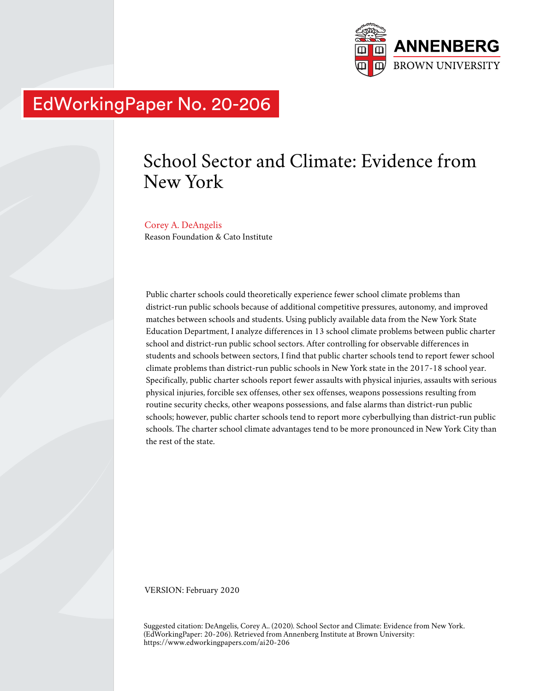

# EdWorkingPaper No. 20-206

# School Sector and Climate: Evidence from New York

#### Corey A. DeAngelis

Reason Foundation & Cato Institute

Public charter schools could theoretically experience fewer school climate problems than district-run public schools because of additional competitive pressures, autonomy, and improved matches between schools and students. Using publicly available data from the New York State Education Department, I analyze differences in 13 school climate problems between public charter school and district-run public school sectors. After controlling for observable differences in students and schools between sectors, I find that public charter schools tend to report fewer school climate problems than district-run public schools in New York state in the 2017-18 school year. Specifically, public charter schools report fewer assaults with physical injuries, assaults with serious physical injuries, forcible sex offenses, other sex offenses, weapons possessions resulting from routine security checks, other weapons possessions, and false alarms than district-run public schools; however, public charter schools tend to report more cyberbullying than district-run public schools. The charter school climate advantages tend to be more pronounced in New York City than the rest of the state.

VERSION: February 2020

Suggested citation: DeAngelis, Corey A.. (2020). School Sector and Climate: Evidence from New York. (EdWorkingPaper: 20-206). Retrieved from Annenberg Institute at Brown University: https://www.edworkingpapers.com/ai20-206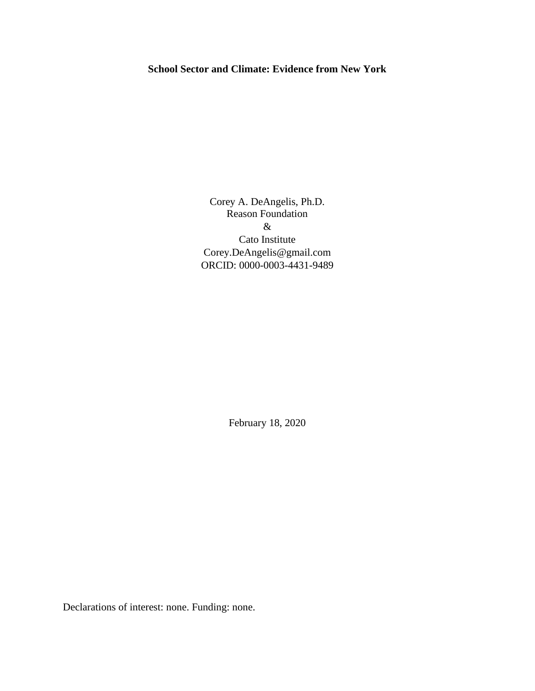# **School Sector and Climate: Evidence from New York**

Corey A. DeAngelis, Ph.D. Reason Foundation & Cato Institute Corey.DeAngelis@gmail.com ORCID: 0000-0003-4431-9489

February 18, 2020

Declarations of interest: none. Funding: none.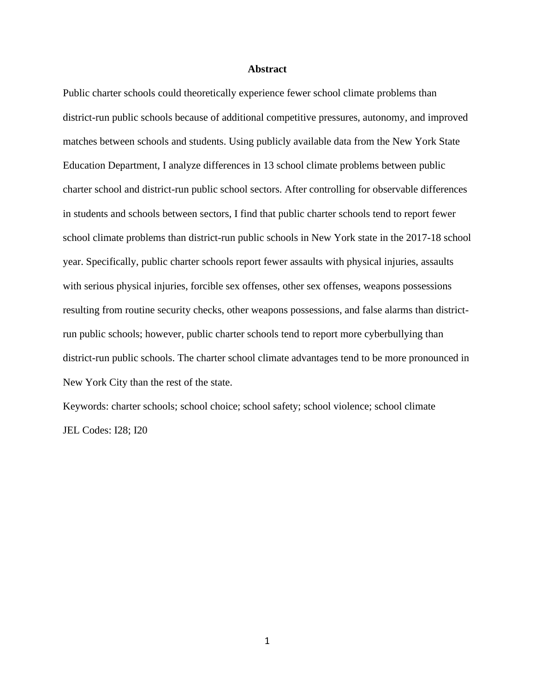#### **Abstract**

Public charter schools could theoretically experience fewer school climate problems than district-run public schools because of additional competitive pressures, autonomy, and improved matches between schools and students. Using publicly available data from the New York State Education Department, I analyze differences in 13 school climate problems between public charter school and district-run public school sectors. After controlling for observable differences in students and schools between sectors, I find that public charter schools tend to report fewer school climate problems than district-run public schools in New York state in the 2017-18 school year. Specifically, public charter schools report fewer assaults with physical injuries, assaults with serious physical injuries, forcible sex offenses, other sex offenses, weapons possessions resulting from routine security checks, other weapons possessions, and false alarms than districtrun public schools; however, public charter schools tend to report more cyberbullying than district-run public schools. The charter school climate advantages tend to be more pronounced in New York City than the rest of the state.

Keywords: charter schools; school choice; school safety; school violence; school climate JEL Codes: I28; I20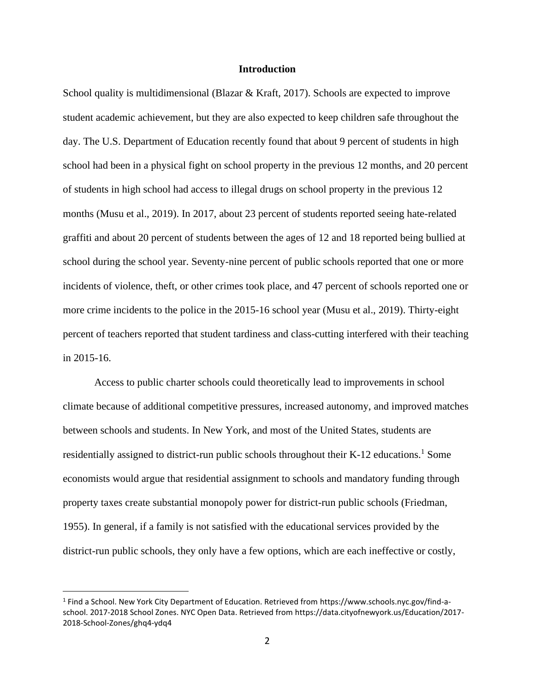#### **Introduction**

School quality is multidimensional (Blazar & Kraft, 2017). Schools are expected to improve student academic achievement, but they are also expected to keep children safe throughout the day. The U.S. Department of Education recently found that about 9 percent of students in high school had been in a physical fight on school property in the previous 12 months, and 20 percent of students in high school had access to illegal drugs on school property in the previous 12 months (Musu et al., 2019). In 2017, about 23 percent of students reported seeing hate-related graffiti and about 20 percent of students between the ages of 12 and 18 reported being bullied at school during the school year. Seventy-nine percent of public schools reported that one or more incidents of violence, theft, or other crimes took place, and 47 percent of schools reported one or more crime incidents to the police in the 2015-16 school year (Musu et al., 2019). Thirty-eight percent of teachers reported that student tardiness and class-cutting interfered with their teaching in 2015-16.

Access to public charter schools could theoretically lead to improvements in school climate because of additional competitive pressures, increased autonomy, and improved matches between schools and students. In New York, and most of the United States, students are residentially assigned to district-run public schools throughout their K-12 educations.<sup>1</sup> Some economists would argue that residential assignment to schools and mandatory funding through property taxes create substantial monopoly power for district-run public schools (Friedman, 1955). In general, if a family is not satisfied with the educational services provided by the district-run public schools, they only have a few options, which are each ineffective or costly,

<sup>1</sup> Find a School. New York City Department of Education. Retrieved from https://www.schools.nyc.gov/find-aschool. 2017-2018 School Zones. NYC Open Data. Retrieved from https://data.cityofnewyork.us/Education/2017- 2018-School-Zones/ghq4-ydq4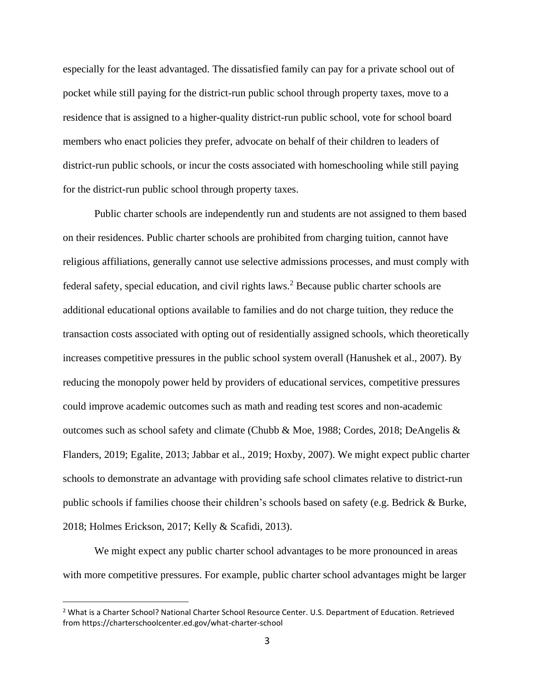especially for the least advantaged. The dissatisfied family can pay for a private school out of pocket while still paying for the district-run public school through property taxes, move to a residence that is assigned to a higher-quality district-run public school, vote for school board members who enact policies they prefer, advocate on behalf of their children to leaders of district-run public schools, or incur the costs associated with homeschooling while still paying for the district-run public school through property taxes.

Public charter schools are independently run and students are not assigned to them based on their residences. Public charter schools are prohibited from charging tuition, cannot have religious affiliations, generally cannot use selective admissions processes, and must comply with federal safety, special education, and civil rights laws.<sup>2</sup> Because public charter schools are additional educational options available to families and do not charge tuition, they reduce the transaction costs associated with opting out of residentially assigned schools, which theoretically increases competitive pressures in the public school system overall (Hanushek et al., 2007). By reducing the monopoly power held by providers of educational services, competitive pressures could improve academic outcomes such as math and reading test scores and non-academic outcomes such as school safety and climate (Chubb & Moe, 1988; Cordes, 2018; DeAngelis & Flanders, 2019; Egalite, 2013; Jabbar et al., 2019; Hoxby, 2007). We might expect public charter schools to demonstrate an advantage with providing safe school climates relative to district-run public schools if families choose their children's schools based on safety (e.g. Bedrick & Burke, 2018; Holmes Erickson, 2017; Kelly & Scafidi, 2013).

We might expect any public charter school advantages to be more pronounced in areas with more competitive pressures. For example, public charter school advantages might be larger

<sup>&</sup>lt;sup>2</sup> What is a Charter School? National Charter School Resource Center. U.S. Department of Education. Retrieved from https://charterschoolcenter.ed.gov/what-charter-school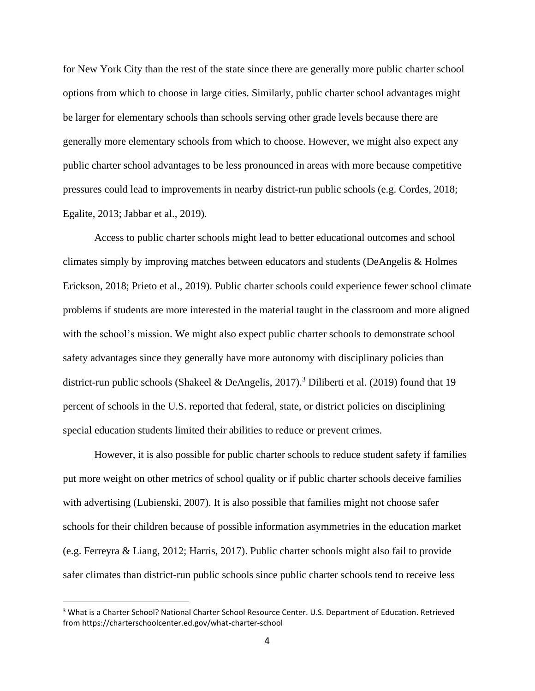for New York City than the rest of the state since there are generally more public charter school options from which to choose in large cities. Similarly, public charter school advantages might be larger for elementary schools than schools serving other grade levels because there are generally more elementary schools from which to choose. However, we might also expect any public charter school advantages to be less pronounced in areas with more because competitive pressures could lead to improvements in nearby district-run public schools (e.g. Cordes, 2018; Egalite, 2013; Jabbar et al., 2019).

Access to public charter schools might lead to better educational outcomes and school climates simply by improving matches between educators and students (DeAngelis & Holmes Erickson, 2018; Prieto et al., 2019). Public charter schools could experience fewer school climate problems if students are more interested in the material taught in the classroom and more aligned with the school's mission. We might also expect public charter schools to demonstrate school safety advantages since they generally have more autonomy with disciplinary policies than district-run public schools (Shakeel & DeAngelis, 2017).<sup>3</sup> Diliberti et al. (2019) found that 19 percent of schools in the U.S. reported that federal, state, or district policies on disciplining special education students limited their abilities to reduce or prevent crimes.

However, it is also possible for public charter schools to reduce student safety if families put more weight on other metrics of school quality or if public charter schools deceive families with advertising (Lubienski, 2007). It is also possible that families might not choose safer schools for their children because of possible information asymmetries in the education market (e.g. Ferreyra & Liang, 2012; Harris, 2017). Public charter schools might also fail to provide safer climates than district-run public schools since public charter schools tend to receive less

<sup>&</sup>lt;sup>3</sup> What is a Charter School? National Charter School Resource Center. U.S. Department of Education. Retrieved from https://charterschoolcenter.ed.gov/what-charter-school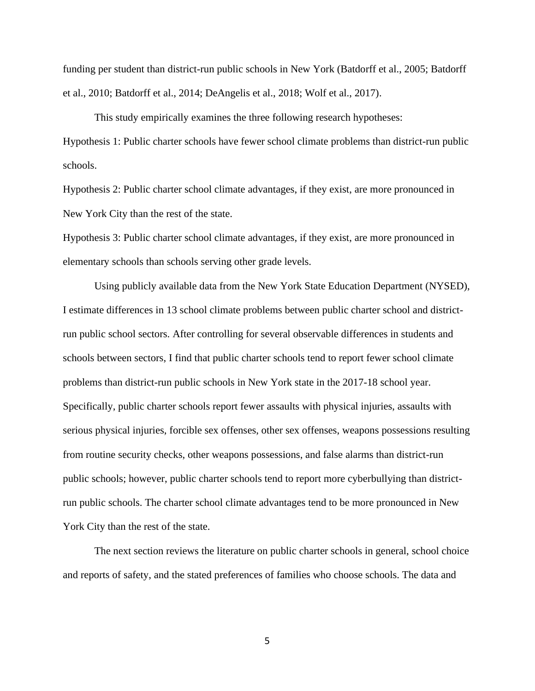funding per student than district-run public schools in New York (Batdorff et al., 2005; Batdorff et al., 2010; Batdorff et al., 2014; DeAngelis et al., 2018; Wolf et al., 2017).

This study empirically examines the three following research hypotheses: Hypothesis 1: Public charter schools have fewer school climate problems than district-run public schools.

Hypothesis 2: Public charter school climate advantages, if they exist, are more pronounced in New York City than the rest of the state.

Hypothesis 3: Public charter school climate advantages, if they exist, are more pronounced in elementary schools than schools serving other grade levels.

Using publicly available data from the New York State Education Department (NYSED), I estimate differences in 13 school climate problems between public charter school and districtrun public school sectors. After controlling for several observable differences in students and schools between sectors, I find that public charter schools tend to report fewer school climate problems than district-run public schools in New York state in the 2017-18 school year. Specifically, public charter schools report fewer assaults with physical injuries, assaults with serious physical injuries, forcible sex offenses, other sex offenses, weapons possessions resulting from routine security checks, other weapons possessions, and false alarms than district-run public schools; however, public charter schools tend to report more cyberbullying than districtrun public schools. The charter school climate advantages tend to be more pronounced in New York City than the rest of the state.

The next section reviews the literature on public charter schools in general, school choice and reports of safety, and the stated preferences of families who choose schools. The data and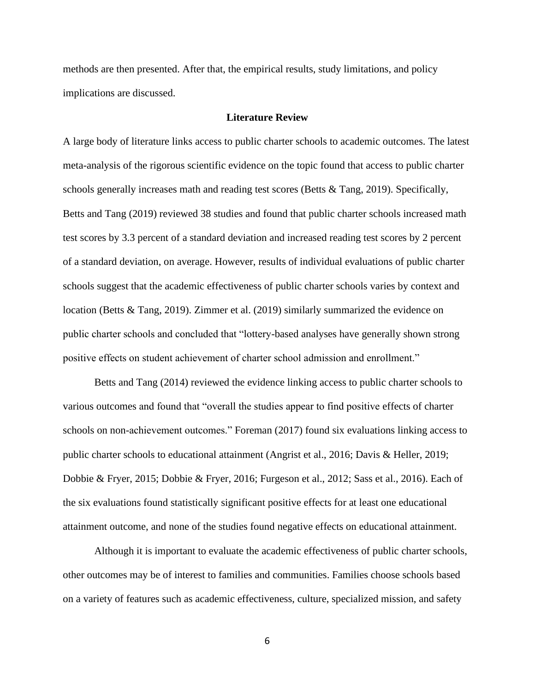methods are then presented. After that, the empirical results, study limitations, and policy implications are discussed.

#### **Literature Review**

A large body of literature links access to public charter schools to academic outcomes. The latest meta-analysis of the rigorous scientific evidence on the topic found that access to public charter schools generally increases math and reading test scores (Betts & Tang, 2019). Specifically, Betts and Tang (2019) reviewed 38 studies and found that public charter schools increased math test scores by 3.3 percent of a standard deviation and increased reading test scores by 2 percent of a standard deviation, on average. However, results of individual evaluations of public charter schools suggest that the academic effectiveness of public charter schools varies by context and location (Betts & Tang, 2019). Zimmer et al. (2019) similarly summarized the evidence on public charter schools and concluded that "lottery-based analyses have generally shown strong positive effects on student achievement of charter school admission and enrollment."

Betts and Tang (2014) reviewed the evidence linking access to public charter schools to various outcomes and found that "overall the studies appear to find positive effects of charter schools on non-achievement outcomes." Foreman (2017) found six evaluations linking access to public charter schools to educational attainment (Angrist et al., 2016; Davis & Heller, 2019; Dobbie & Fryer, 2015; Dobbie & Fryer, 2016; Furgeson et al., 2012; Sass et al., 2016). Each of the six evaluations found statistically significant positive effects for at least one educational attainment outcome, and none of the studies found negative effects on educational attainment.

Although it is important to evaluate the academic effectiveness of public charter schools, other outcomes may be of interest to families and communities. Families choose schools based on a variety of features such as academic effectiveness, culture, specialized mission, and safety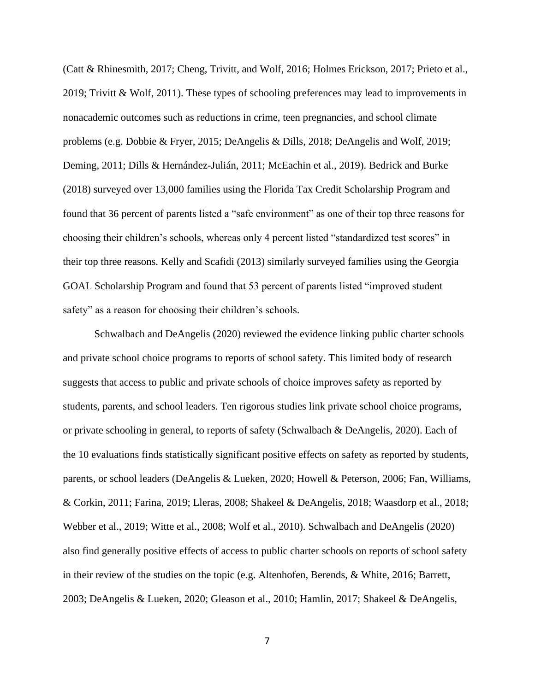(Catt & Rhinesmith, 2017; Cheng, Trivitt, and Wolf, 2016; Holmes Erickson, 2017; Prieto et al., 2019; Trivitt & Wolf, 2011). These types of schooling preferences may lead to improvements in nonacademic outcomes such as reductions in crime, teen pregnancies, and school climate problems (e.g. Dobbie & Fryer, 2015; DeAngelis & Dills, 2018; DeAngelis and Wolf, 2019; Deming, 2011; Dills & Hernández-Julián, 2011; McEachin et al., 2019). Bedrick and Burke (2018) surveyed over 13,000 families using the Florida Tax Credit Scholarship Program and found that 36 percent of parents listed a "safe environment" as one of their top three reasons for choosing their children's schools, whereas only 4 percent listed "standardized test scores" in their top three reasons. Kelly and Scafidi (2013) similarly surveyed families using the Georgia GOAL Scholarship Program and found that 53 percent of parents listed "improved student safety" as a reason for choosing their children's schools.

Schwalbach and DeAngelis (2020) reviewed the evidence linking public charter schools and private school choice programs to reports of school safety. This limited body of research suggests that access to public and private schools of choice improves safety as reported by students, parents, and school leaders. Ten rigorous studies link private school choice programs, or private schooling in general, to reports of safety (Schwalbach & DeAngelis, 2020). Each of the 10 evaluations finds statistically significant positive effects on safety as reported by students, parents, or school leaders (DeAngelis & Lueken, 2020; Howell & Peterson, 2006; Fan, Williams, & Corkin, 2011; Farina, 2019; Lleras, 2008; Shakeel & DeAngelis, 2018; Waasdorp et al., 2018; Webber et al., 2019; Witte et al., 2008; Wolf et al., 2010). Schwalbach and DeAngelis (2020) also find generally positive effects of access to public charter schools on reports of school safety in their review of the studies on the topic (e.g. Altenhofen, Berends, & White, 2016; Barrett, 2003; DeAngelis & Lueken, 2020; Gleason et al., 2010; Hamlin, 2017; Shakeel & DeAngelis,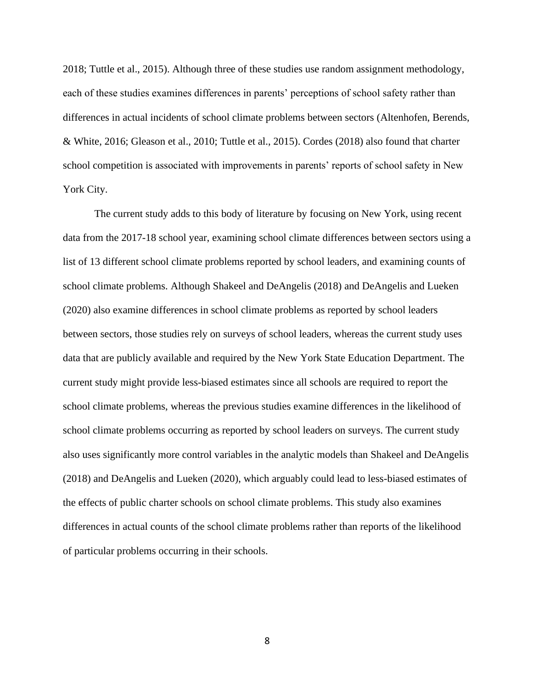2018; Tuttle et al., 2015). Although three of these studies use random assignment methodology, each of these studies examines differences in parents' perceptions of school safety rather than differences in actual incidents of school climate problems between sectors (Altenhofen, Berends, & White, 2016; Gleason et al., 2010; Tuttle et al., 2015). Cordes (2018) also found that charter school competition is associated with improvements in parents' reports of school safety in New York City.

The current study adds to this body of literature by focusing on New York, using recent data from the 2017-18 school year, examining school climate differences between sectors using a list of 13 different school climate problems reported by school leaders, and examining counts of school climate problems. Although Shakeel and DeAngelis (2018) and DeAngelis and Lueken (2020) also examine differences in school climate problems as reported by school leaders between sectors, those studies rely on surveys of school leaders, whereas the current study uses data that are publicly available and required by the New York State Education Department. The current study might provide less-biased estimates since all schools are required to report the school climate problems, whereas the previous studies examine differences in the likelihood of school climate problems occurring as reported by school leaders on surveys. The current study also uses significantly more control variables in the analytic models than Shakeel and DeAngelis (2018) and DeAngelis and Lueken (2020), which arguably could lead to less-biased estimates of the effects of public charter schools on school climate problems. This study also examines differences in actual counts of the school climate problems rather than reports of the likelihood of particular problems occurring in their schools.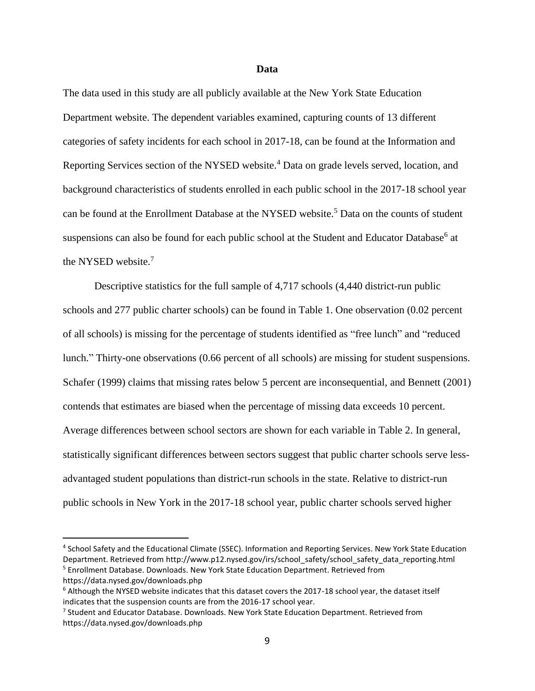#### **Data**

The data used in this study are all publicly available at the New York State Education Department website. The dependent variables examined, capturing counts of 13 different categories of safety incidents for each school in 2017-18, can be found at the Information and Reporting Services section of the NYSED website.<sup>4</sup> Data on grade levels served, location, and background characteristics of students enrolled in each public school in the 2017-18 school year can be found at the Enrollment Database at the NYSED website.<sup>5</sup> Data on the counts of student suspensions can also be found for each public school at the Student and Educator Database<sup>6</sup> at the NYSED website.<sup>7</sup>

Descriptive statistics for the full sample of 4,717 schools (4,440 district-run public schools and 277 public charter schools) can be found in Table 1. One observation (0.02 percent of all schools) is missing for the percentage of students identified as "free lunch" and "reduced lunch." Thirty-one observations (0.66 percent of all schools) are missing for student suspensions. Schafer (1999) claims that missing rates below 5 percent are inconsequential, and Bennett (2001) contends that estimates are biased when the percentage of missing data exceeds 10 percent. Average differences between school sectors are shown for each variable in Table 2. In general, statistically significant differences between sectors suggest that public charter schools serve lessadvantaged student populations than district-run schools in the state. Relative to district-run public schools in New York in the 2017-18 school year, public charter schools served higher

<sup>4</sup> School Safety and the Educational Climate (SSEC). Information and Reporting Services. New York State Education Department. Retrieved from http://www.p12.nysed.gov/irs/school\_safety/school\_safety\_data\_reporting.html

<sup>5</sup> Enrollment Database. Downloads. New York State Education Department. Retrieved from https://data.nysed.gov/downloads.php

 $6$  Although the NYSED website indicates that this dataset covers the 2017-18 school year, the dataset itself indicates that the suspension counts are from the 2016-17 school year.

<sup>7</sup> Student and Educator Database. Downloads. New York State Education Department. Retrieved from https://data.nysed.gov/downloads.php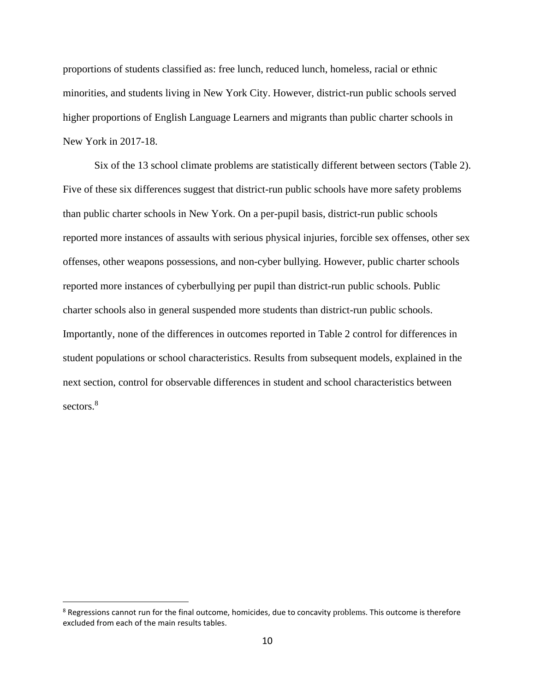proportions of students classified as: free lunch, reduced lunch, homeless, racial or ethnic minorities, and students living in New York City. However, district-run public schools served higher proportions of English Language Learners and migrants than public charter schools in New York in 2017-18.

Six of the 13 school climate problems are statistically different between sectors (Table 2). Five of these six differences suggest that district-run public schools have more safety problems than public charter schools in New York. On a per-pupil basis, district-run public schools reported more instances of assaults with serious physical injuries, forcible sex offenses, other sex offenses, other weapons possessions, and non-cyber bullying. However, public charter schools reported more instances of cyberbullying per pupil than district-run public schools. Public charter schools also in general suspended more students than district-run public schools. Importantly, none of the differences in outcomes reported in Table 2 control for differences in student populations or school characteristics. Results from subsequent models, explained in the next section, control for observable differences in student and school characteristics between sectors.<sup>8</sup>

<sup>&</sup>lt;sup>8</sup> Regressions cannot run for the final outcome, homicides, due to concavity problems. This outcome is therefore excluded from each of the main results tables.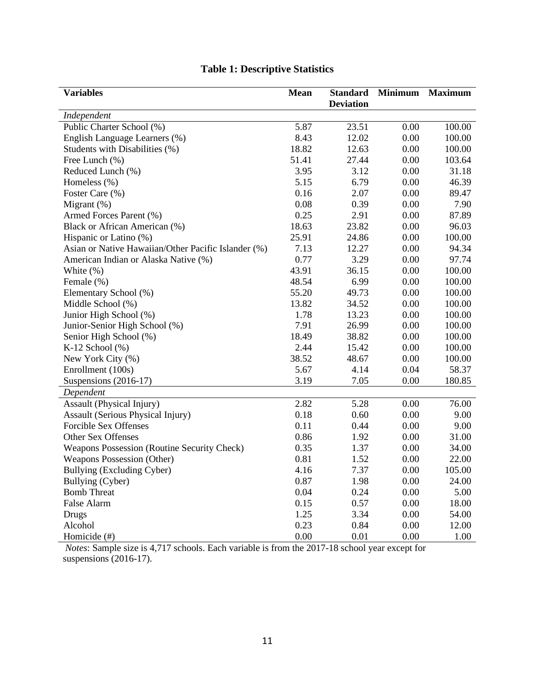| <b>Variables</b>                                    | <b>Mean</b> | <b>Standard</b>  | <b>Minimum</b> | <b>Maximum</b> |
|-----------------------------------------------------|-------------|------------------|----------------|----------------|
|                                                     |             | <b>Deviation</b> |                |                |
| Independent                                         |             |                  |                |                |
| Public Charter School (%)                           | 5.87        | 23.51            | 0.00           | 100.00         |
| English Language Learners (%)                       | 8.43        | 12.02            | 0.00           | 100.00         |
| Students with Disabilities (%)                      | 18.82       | 12.63            | 0.00           | 100.00         |
| Free Lunch (%)                                      | 51.41       | 27.44            | 0.00           | 103.64         |
| Reduced Lunch (%)                                   | 3.95        | 3.12             | 0.00           | 31.18          |
| Homeless (%)                                        | 5.15        | 6.79             | 0.00           | 46.39          |
| Foster Care (%)                                     | 0.16        | 2.07             | 0.00           | 89.47          |
| Migrant $(\%)$                                      | 0.08        | 0.39             | 0.00           | 7.90           |
| Armed Forces Parent (%)                             | 0.25        | 2.91             | 0.00           | 87.89          |
| Black or African American (%)                       | 18.63       | 23.82            | 0.00           | 96.03          |
| Hispanic or Latino (%)                              | 25.91       | 24.86            | 0.00           | 100.00         |
| Asian or Native Hawaiian/Other Pacific Islander (%) | 7.13        | 12.27            | 0.00           | 94.34          |
| American Indian or Alaska Native (%)                | 0.77        | 3.29             | 0.00           | 97.74          |
| White (%)                                           | 43.91       | 36.15            | 0.00           | 100.00         |
| Female (%)                                          | 48.54       | 6.99             | 0.00           | 100.00         |
| Elementary School (%)                               | 55.20       | 49.73            | 0.00           | 100.00         |
| Middle School (%)                                   | 13.82       | 34.52            | 0.00           | 100.00         |
| Junior High School (%)                              | 1.78        | 13.23            | 0.00           | 100.00         |
| Junior-Senior High School (%)                       | 7.91        | 26.99            | 0.00           | 100.00         |
| Senior High School (%)                              | 18.49       | 38.82            | 0.00           | 100.00         |
| K-12 School $(\%)$                                  | 2.44        | 15.42            | 0.00           | 100.00         |
| New York City (%)                                   | 38.52       | 48.67            | 0.00           | 100.00         |
| Enrollment (100s)                                   | 5.67        | 4.14             | 0.04           | 58.37          |
| Suspensions (2016-17)                               | 3.19        | 7.05             | 0.00           | 180.85         |
| Dependent                                           |             |                  |                |                |
| <b>Assault</b> (Physical Injury)                    | 2.82        | 5.28             | 0.00           | 76.00          |
| <b>Assault (Serious Physical Injury)</b>            | 0.18        | 0.60             | 0.00           | 9.00           |
| <b>Forcible Sex Offenses</b>                        | 0.11        | 0.44             | 0.00           | 9.00           |
| Other Sex Offenses                                  | 0.86        | 1.92             | 0.00           | 31.00          |
| Weapons Possession (Routine Security Check)         | 0.35        | 1.37             | 0.00           | 34.00          |
| Weapons Possession (Other)                          | 0.81        | 1.52             | 0.00           | 22.00          |
| Bullying (Excluding Cyber)                          | 4.16        | 7.37             | 0.00           | 105.00         |
| Bullying (Cyber)                                    | 0.87        | 1.98             | $0.00\,$       | 24.00          |
| <b>Bomb Threat</b>                                  | 0.04        | 0.24             | 0.00           | 5.00           |
| False Alarm                                         | 0.15        | 0.57             | 0.00           | 18.00          |
| Drugs                                               | 1.25        | 3.34             | 0.00           | 54.00          |
| Alcohol                                             | 0.23        | 0.84             | 0.00           | 12.00          |
| Homicide (#)                                        | 0.00        | 0.01             | 0.00           | 1.00           |

# **Table 1: Descriptive Statistics**

*Notes*: Sample size is 4,717 schools. Each variable is from the 2017-18 school year except for suspensions (2016-17).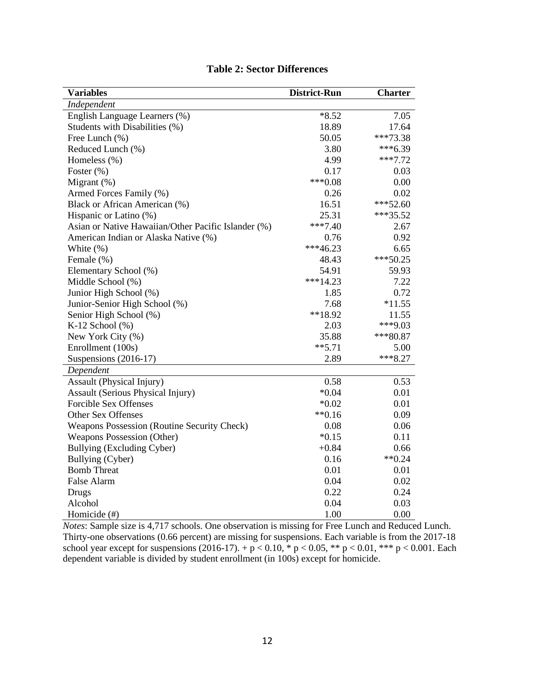| <b>Variables</b>                                    | <b>District-Run</b> | <b>Charter</b> |
|-----------------------------------------------------|---------------------|----------------|
| Independent                                         |                     |                |
| English Language Learners (%)                       | $*8.52$             | 7.05           |
| Students with Disabilities (%)                      | 18.89               | 17.64          |
| Free Lunch (%)                                      | 50.05               | ***73.38       |
| Reduced Lunch (%)                                   | 3.80                | $***6.39$      |
| Homeless (%)                                        | 4.99                | $***7.72$      |
| Foster (%)                                          | 0.17                | 0.03           |
| Migrant $(\%)$                                      | $***0.08$           | 0.00           |
| Armed Forces Family (%)                             | 0.26                | 0.02           |
| Black or African American (%)                       | 16.51               | $***52.60$     |
| Hispanic or Latino (%)                              | 25.31               | ***35.52       |
| Asian or Native Hawaiian/Other Pacific Islander (%) | $***7.40$           | 2.67           |
| American Indian or Alaska Native (%)                | 0.76                | 0.92           |
| White $(\%)$                                        | $***46.23$          | 6.65           |
| Female (%)                                          | 48.43               | $***50.25$     |
| Elementary School (%)                               | 54.91               | 59.93          |
| Middle School (%)                                   | $***14.23$          | 7.22           |
| Junior High School (%)                              | 1.85                | 0.72           |
| Junior-Senior High School (%)                       | 7.68                | $*11.55$       |
| Senior High School (%)                              | **18.92             | 11.55          |
| K-12 School $(\%)$                                  | 2.03                | ***9.03        |
| New York City (%)                                   | 35.88               | $***80.87$     |
| Enrollment (100s)                                   | $***5.71$           | 5.00           |
| Suspensions (2016-17)                               | 2.89                | $***8.27$      |
| Dependent                                           |                     |                |
| <b>Assault</b> (Physical Injury)                    | 0.58                | 0.53           |
| Assault (Serious Physical Injury)                   | $*0.04$             | 0.01           |
| <b>Forcible Sex Offenses</b>                        | $*0.02$             | 0.01           |
| Other Sex Offenses                                  | $**0.16$            | 0.09           |
| Weapons Possession (Routine Security Check)         | 0.08                | 0.06           |
| Weapons Possession (Other)                          | $*0.15$             | 0.11           |
| Bullying (Excluding Cyber)                          | $+0.84$             | 0.66           |
| Bullying (Cyber)                                    | 0.16                | $**0.24$       |
| <b>Bomb Threat</b>                                  | 0.01                | 0.01           |
| False Alarm                                         | 0.04                | 0.02           |
| Drugs                                               | 0.22                | 0.24           |
| Alcohol                                             | 0.04                | 0.03           |
| Homicide (#)                                        | 1.00                | 0.00           |

### **Table 2: Sector Differences**

*Notes*: Sample size is 4,717 schools. One observation is missing for Free Lunch and Reduced Lunch. Thirty-one observations (0.66 percent) are missing for suspensions. Each variable is from the 2017-18 school year except for suspensions (2016-17). +  $p < 0.10$ , \*  $p < 0.05$ , \*\*  $p < 0.01$ , \*\*\*  $p < 0.001$ . Each dependent variable is divided by student enrollment (in 100s) except for homicide.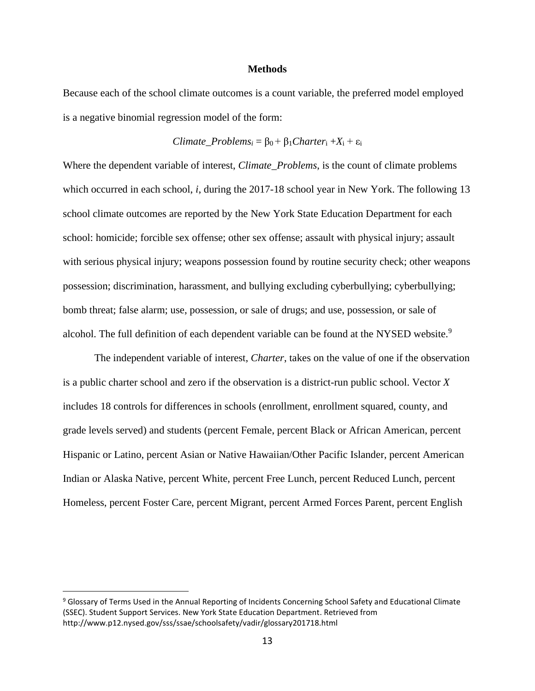#### **Methods**

Because each of the school climate outcomes is a count variable, the preferred model employed is a negative binomial regression model of the form:

$$
Climate\_Problems_i = \beta_0 + \beta_1Character_i + X_i + \varepsilon_i
$$

Where the dependent variable of interest, *Climate\_Problems*, is the count of climate problems which occurred in each school, *i*, during the 2017-18 school year in New York. The following 13 school climate outcomes are reported by the New York State Education Department for each school: homicide; forcible sex offense; other sex offense; assault with physical injury; assault with serious physical injury; weapons possession found by routine security check; other weapons possession; discrimination, harassment, and bullying excluding cyberbullying; cyberbullying; bomb threat; false alarm; use, possession, or sale of drugs; and use, possession, or sale of alcohol. The full definition of each dependent variable can be found at the NYSED website.<sup>9</sup>

The independent variable of interest, *Charter*, takes on the value of one if the observation is a public charter school and zero if the observation is a district-run public school. Vector *X*  includes 18 controls for differences in schools (enrollment, enrollment squared, county, and grade levels served) and students (percent Female, percent Black or African American, percent Hispanic or Latino, percent Asian or Native Hawaiian/Other Pacific Islander, percent American Indian or Alaska Native, percent White, percent Free Lunch, percent Reduced Lunch, percent Homeless, percent Foster Care, percent Migrant, percent Armed Forces Parent, percent English

<sup>9</sup> Glossary of Terms Used in the Annual Reporting of Incidents Concerning School Safety and Educational Climate (SSEC). Student Support Services. New York State Education Department. Retrieved from http://www.p12.nysed.gov/sss/ssae/schoolsafety/vadir/glossary201718.html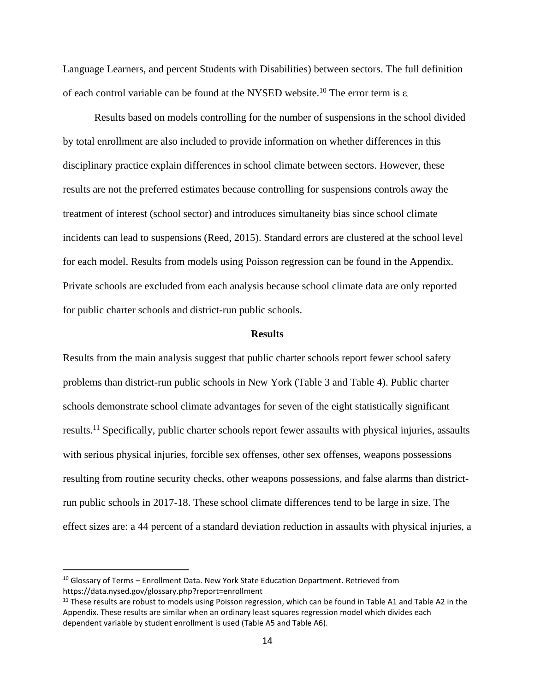Language Learners, and percent Students with Disabilities) between sectors. The full definition of each control variable can be found at the NYSED website.<sup>10</sup> The error term is ε.

Results based on models controlling for the number of suspensions in the school divided by total enrollment are also included to provide information on whether differences in this disciplinary practice explain differences in school climate between sectors. However, these results are not the preferred estimates because controlling for suspensions controls away the treatment of interest (school sector) and introduces simultaneity bias since school climate incidents can lead to suspensions (Reed, 2015). Standard errors are clustered at the school level for each model. Results from models using Poisson regression can be found in the Appendix. Private schools are excluded from each analysis because school climate data are only reported for public charter schools and district-run public schools.

#### **Results**

Results from the main analysis suggest that public charter schools report fewer school safety problems than district-run public schools in New York (Table 3 and Table 4). Public charter schools demonstrate school climate advantages for seven of the eight statistically significant results.<sup>11</sup> Specifically, public charter schools report fewer assaults with physical injuries, assaults with serious physical injuries, forcible sex offenses, other sex offenses, weapons possessions resulting from routine security checks, other weapons possessions, and false alarms than districtrun public schools in 2017-18. These school climate differences tend to be large in size. The effect sizes are: a 44 percent of a standard deviation reduction in assaults with physical injuries, a

 $10$  Glossary of Terms – Enrollment Data. New York State Education Department. Retrieved from https://data.nysed.gov/glossary.php?report=enrollment

 $11$  These results are robust to models using Poisson regression, which can be found in Table A1 and Table A2 in the Appendix. These results are similar when an ordinary least squares regression model which divides each dependent variable by student enrollment is used (Table A5 and Table A6).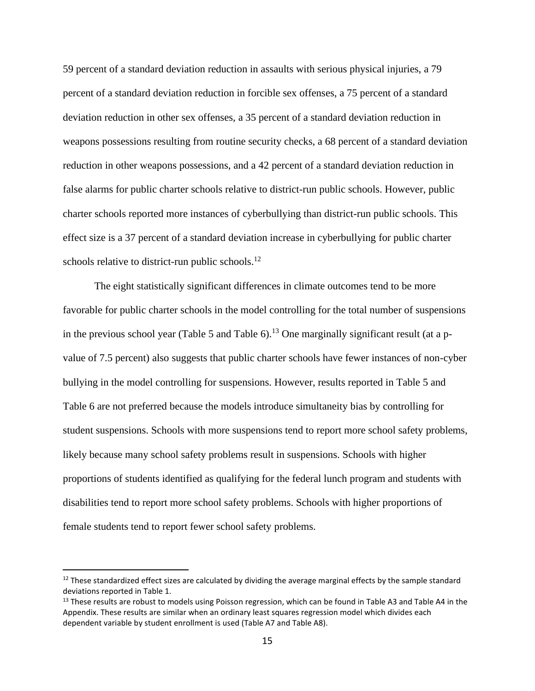59 percent of a standard deviation reduction in assaults with serious physical injuries, a 79 percent of a standard deviation reduction in forcible sex offenses, a 75 percent of a standard deviation reduction in other sex offenses, a 35 percent of a standard deviation reduction in weapons possessions resulting from routine security checks, a 68 percent of a standard deviation reduction in other weapons possessions, and a 42 percent of a standard deviation reduction in false alarms for public charter schools relative to district-run public schools. However, public charter schools reported more instances of cyberbullying than district-run public schools. This effect size is a 37 percent of a standard deviation increase in cyberbullying for public charter schools relative to district-run public schools.<sup>12</sup>

The eight statistically significant differences in climate outcomes tend to be more favorable for public charter schools in the model controlling for the total number of suspensions in the previous school year (Table 5 and Table 6).<sup>13</sup> One marginally significant result (at a pvalue of 7.5 percent) also suggests that public charter schools have fewer instances of non-cyber bullying in the model controlling for suspensions. However, results reported in Table 5 and Table 6 are not preferred because the models introduce simultaneity bias by controlling for student suspensions. Schools with more suspensions tend to report more school safety problems, likely because many school safety problems result in suspensions. Schools with higher proportions of students identified as qualifying for the federal lunch program and students with disabilities tend to report more school safety problems. Schools with higher proportions of female students tend to report fewer school safety problems.

<sup>&</sup>lt;sup>12</sup> These standardized effect sizes are calculated by dividing the average marginal effects by the sample standard deviations reported in Table 1.

 $13$  These results are robust to models using Poisson regression, which can be found in Table A3 and Table A4 in the Appendix. These results are similar when an ordinary least squares regression model which divides each dependent variable by student enrollment is used (Table A7 and Table A8).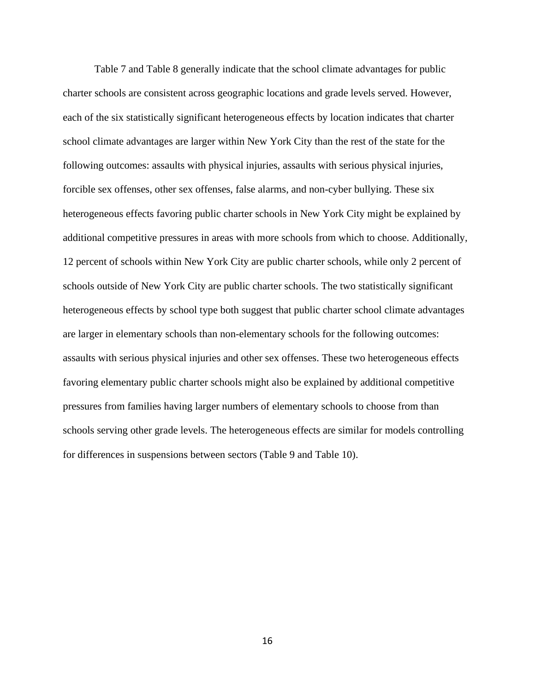Table 7 and Table 8 generally indicate that the school climate advantages for public charter schools are consistent across geographic locations and grade levels served. However, each of the six statistically significant heterogeneous effects by location indicates that charter school climate advantages are larger within New York City than the rest of the state for the following outcomes: assaults with physical injuries, assaults with serious physical injuries, forcible sex offenses, other sex offenses, false alarms, and non-cyber bullying. These six heterogeneous effects favoring public charter schools in New York City might be explained by additional competitive pressures in areas with more schools from which to choose. Additionally, 12 percent of schools within New York City are public charter schools, while only 2 percent of schools outside of New York City are public charter schools. The two statistically significant heterogeneous effects by school type both suggest that public charter school climate advantages are larger in elementary schools than non-elementary schools for the following outcomes: assaults with serious physical injuries and other sex offenses. These two heterogeneous effects favoring elementary public charter schools might also be explained by additional competitive pressures from families having larger numbers of elementary schools to choose from than schools serving other grade levels. The heterogeneous effects are similar for models controlling for differences in suspensions between sectors (Table 9 and Table 10).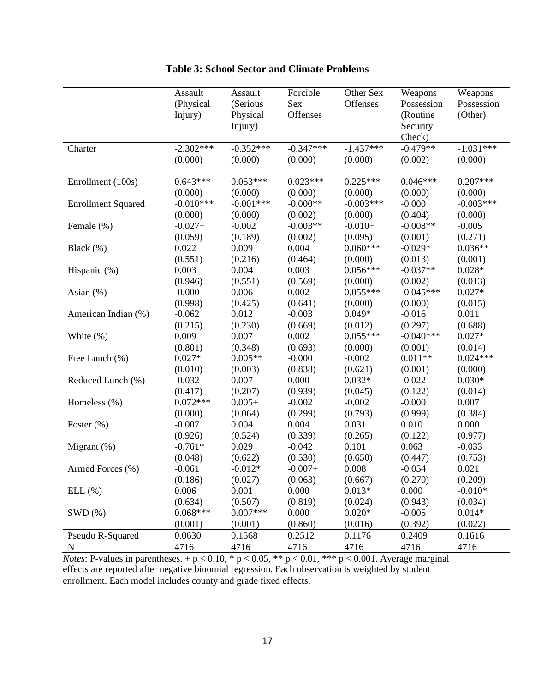|                           | Assault     | Assault     | Forcible    | Other Sex   | Weapons     | Weapons     |
|---------------------------|-------------|-------------|-------------|-------------|-------------|-------------|
|                           | (Physical   | (Serious    | Sex         | Offenses    | Possession  | Possession  |
|                           | Injury)     | Physical    | Offenses    |             | (Routine    | (Other)     |
|                           |             | Injury)     |             |             | Security    |             |
|                           |             |             |             |             | Check)      |             |
| Charter                   | $-2.302***$ | $-0.352***$ | $-0.347***$ | $-1.437***$ | $-0.479**$  | $-1.031***$ |
|                           | (0.000)     | (0.000)     | (0.000)     | (0.000)     | (0.002)     | (0.000)     |
|                           |             |             |             |             |             |             |
| Enrollment (100s)         | $0.643***$  | $0.053***$  | $0.023***$  | $0.225***$  | $0.046***$  | $0.207***$  |
|                           | (0.000)     | (0.000)     | (0.000)     | (0.000)     | (0.000)     | (0.000)     |
| <b>Enrollment Squared</b> | $-0.010***$ | $-0.001***$ | $-0.000**$  | $-0.003***$ | $-0.000$    | $-0.003***$ |
|                           | (0.000)     | (0.000)     | (0.002)     | (0.000)     | (0.404)     | (0.000)     |
| Female (%)                | $-0.027+$   | $-0.002$    | $-0.003**$  | $-0.010+$   | $-0.008**$  | $-0.005$    |
|                           | (0.059)     | (0.189)     | (0.002)     | (0.095)     | (0.001)     | (0.271)     |
| Black (%)                 | 0.022       | 0.009       | 0.004       | $0.060***$  | $-0.029*$   | $0.036**$   |
|                           | (0.551)     | (0.216)     | (0.464)     | (0.000)     | (0.013)     | (0.001)     |
| Hispanic (%)              | 0.003       | 0.004       | 0.003       | $0.056***$  | $-0.037**$  | $0.028*$    |
|                           | (0.946)     | (0.551)     | (0.569)     | (0.000)     | (0.002)     | (0.013)     |
| Asian (%)                 | $-0.000$    | 0.006       | 0.002       | $0.055***$  | $-0.045***$ | $0.027*$    |
|                           | (0.998)     | (0.425)     | (0.641)     | (0.000)     | (0.000)     | (0.015)     |
| American Indian (%)       | $-0.062$    | 0.012       | $-0.003$    | $0.049*$    | $-0.016$    | 0.011       |
|                           | (0.215)     | (0.230)     | (0.669)     | (0.012)     | (0.297)     | (0.688)     |
| White $(\%)$              | 0.009       | 0.007       | 0.002       | $0.055***$  | $-0.040***$ | $0.027*$    |
|                           | (0.801)     | (0.348)     | (0.693)     | (0.000)     | (0.001)     | (0.014)     |
| Free Lunch (%)            | $0.027*$    | $0.005**$   | $-0.000$    | $-0.002$    | $0.011**$   | $0.024***$  |
|                           | (0.010)     | (0.003)     | (0.838)     | (0.621)     | (0.001)     | (0.000)     |
| Reduced Lunch (%)         | $-0.032$    | 0.007       | 0.000       | $0.032*$    | $-0.022$    | $0.030*$    |
|                           | (0.417)     | (0.207)     | (0.939)     | (0.045)     | (0.122)     | (0.014)     |
| Homeless (%)              | $0.072***$  | $0.005+$    | $-0.002$    | $-0.002$    | $-0.000$    | 0.007       |
|                           | (0.000)     | (0.064)     | (0.299)     | (0.793)     | (0.999)     | (0.384)     |
| Foster $(\%)$             | $-0.007$    | 0.004       | 0.004       | 0.031       | 0.010       | 0.000       |
|                           | (0.926)     | (0.524)     | (0.339)     | (0.265)     | (0.122)     | (0.977)     |
| Migrant $(\%)$            | $-0.761*$   | 0.029       | $-0.042$    | 0.101       | 0.063       | $-0.033$    |
|                           | (0.048)     | (0.622)     | (0.530)     | (0.650)     | (0.447)     | (0.753)     |
| Armed Forces (%)          | $-0.061$    | $-0.012*$   | $-0.007+$   | 0.008       | $-0.054$    | 0.021       |
|                           | (0.186)     | (0.027)     | (0.063)     | (0.667)     | (0.270)     | (0.209)     |
| ELL (%)                   | 0.006       | 0.001       | 0.000       | $0.013*$    | 0.000       | $-0.010*$   |
|                           | (0.634)     | (0.507)     | (0.819)     | (0.024)     | (0.943)     | (0.034)     |
| SWD(%)                    | $0.068***$  | $0.007***$  | 0.000       | $0.020*$    | $-0.005$    | $0.014*$    |
|                           | (0.001)     | (0.001)     | (0.860)     | (0.016)     | (0.392)     | (0.022)     |
| Pseudo R-Squared          | 0.0630      | 0.1568      | 0.2512      | 0.1176      | 0.2409      | 0.1616      |
| $\mathbf N$               | 4716        | 4716        | 4716        | 4716        | 4716        | 4716        |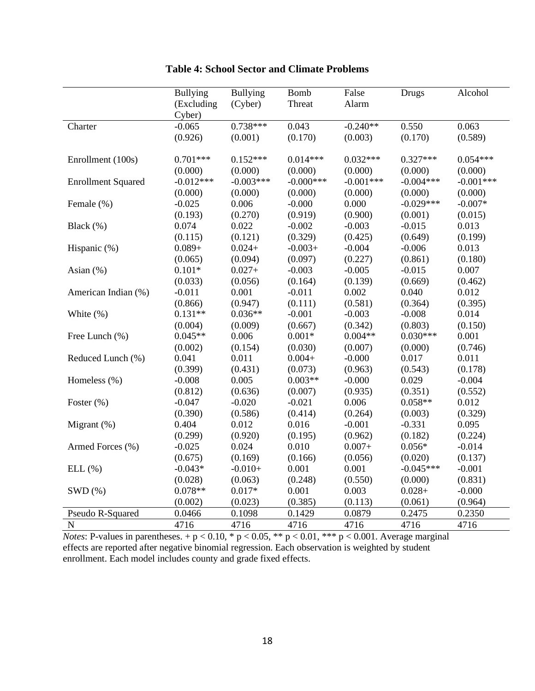|                           | <b>Bullying</b> | <b>Bullying</b> | <b>Bomb</b>  | False       | Drugs       | Alcohol     |
|---------------------------|-----------------|-----------------|--------------|-------------|-------------|-------------|
|                           | (Excluding      | (Cyber)         | Threat       | Alarm       |             |             |
|                           | Cyber)          |                 |              |             |             |             |
| Charter                   | $-0.065$        | $0.738***$      | 0.043        | $-0.240**$  | 0.550       | 0.063       |
|                           | (0.926)         | (0.001)         | (0.170)      | (0.003)     | (0.170)     | (0.589)     |
|                           |                 |                 |              |             |             |             |
| Enrollment (100s)         | $0.701***$      | $0.152***$      | $0.014***$   | $0.032***$  | $0.327***$  | $0.054***$  |
|                           | (0.000)         | (0.000)         | (0.000)      | (0.000)     | (0.000)     | (0.000)     |
| <b>Enrollment Squared</b> | $-0.012***$     | $-0.003***$     | $-0.000$ *** | $-0.001***$ | $-0.004***$ | $-0.001***$ |
|                           | (0.000)         | (0.000)         | (0.000)      | (0.000)     | (0.000)     | (0.000)     |
| Female (%)                | $-0.025$        | 0.006           | $-0.000$     | 0.000       | $-0.029***$ | $-0.007*$   |
|                           | (0.193)         | (0.270)         | (0.919)      | (0.900)     | (0.001)     | (0.015)     |
| Black (%)                 | 0.074           | 0.022           | $-0.002$     | $-0.003$    | $-0.015$    | 0.013       |
|                           | (0.115)         | (0.121)         | (0.329)      | (0.425)     | (0.649)     | (0.199)     |
| Hispanic (%)              | $0.089 +$       | $0.024+$        | $-0.003+$    | $-0.004$    | $-0.006$    | 0.013       |
|                           | (0.065)         | (0.094)         | (0.097)      | (0.227)     | (0.861)     | (0.180)     |
| Asian (%)                 | $0.101*$        | $0.027 +$       | $-0.003$     | $-0.005$    | $-0.015$    | 0.007       |
|                           | (0.033)         | (0.056)         | (0.164)      | (0.139)     | (0.669)     | (0.462)     |
| American Indian (%)       | $-0.011$        | 0.001           | $-0.011$     | 0.002       | 0.040       | 0.012       |
|                           | (0.866)         | (0.947)         | (0.111)      | (0.581)     | (0.364)     | (0.395)     |
| White (%)                 | $0.131**$       | $0.036**$       | $-0.001$     | $-0.003$    | $-0.008$    | 0.014       |
|                           | (0.004)         | (0.009)         | (0.667)      | (0.342)     | (0.803)     | (0.150)     |
| Free Lunch (%)            | $0.045**$       | 0.006           | $0.001*$     | $0.004**$   | $0.030***$  | 0.001       |
|                           | (0.002)         | (0.154)         | (0.030)      | (0.007)     | (0.000)     | (0.746)     |
| Reduced Lunch (%)         | 0.041           | 0.011           | $0.004 +$    | $-0.000$    | 0.017       | 0.011       |
|                           | (0.399)         | (0.431)         | (0.073)      | (0.963)     | (0.543)     | (0.178)     |
| Homeless (%)              | $-0.008$        | 0.005           | $0.003**$    | $-0.000$    | 0.029       | $-0.004$    |
|                           | (0.812)         | (0.636)         | (0.007)      | (0.935)     | (0.351)     | (0.552)     |
| Foster $(\% )$            | $-0.047$        | $-0.020$        | $-0.021$     | 0.006       | $0.058**$   | 0.012       |
|                           | (0.390)         | (0.586)         | (0.414)      | (0.264)     | (0.003)     | (0.329)     |
| Migrant $(\%)$            | 0.404           | 0.012           | 0.016        | $-0.001$    | $-0.331$    | 0.095       |
|                           | (0.299)         | (0.920)         | (0.195)      | (0.962)     | (0.182)     | (0.224)     |
| Armed Forces (%)          | $-0.025$        | 0.024           | 0.010        | $0.007 +$   | $0.056*$    | $-0.014$    |
|                           | (0.675)         | (0.169)         | (0.166)      | (0.056)     | (0.020)     | (0.137)     |
| ELL(%)                    | $-0.043*$       | $-0.010+$       | 0.001        | 0.001       | $-0.045***$ | $-0.001$    |
|                           | (0.028)         | (0.063)         | (0.248)      | (0.550)     | (0.000)     | (0.831)     |
| SWD(%)                    | $0.078**$       | $0.017*$        | 0.001        | 0.003       | $0.028 +$   | $-0.000$    |
|                           | (0.002)         | (0.023)         | (0.385)      | (0.113)     | (0.061)     | (0.964)     |
| Pseudo R-Squared          | 0.0466          | 0.1098          | 0.1429       | 0.0879      | 0.2475      | 0.2350      |
| N                         | 4716            | 4716            | 4716         | 4716        | 4716        | 4716        |

# **Table 4: School Sector and Climate Problems**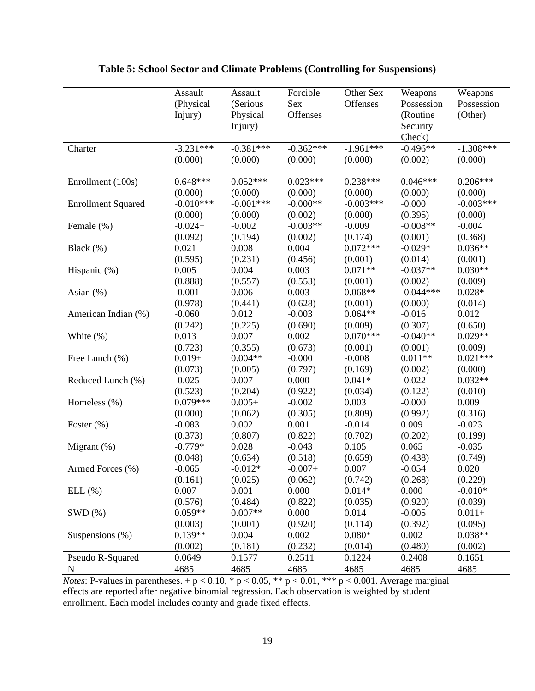|                           | Assault     | Assault     | Forcible    | Other Sex   | Weapons     | Weapons     |
|---------------------------|-------------|-------------|-------------|-------------|-------------|-------------|
|                           | (Physical   | (Serious    | Sex         | Offenses    | Possession  | Possession  |
|                           | Injury)     | Physical    | Offenses    |             | (Routine    | (Other)     |
|                           |             | Injury)     |             |             | Security    |             |
|                           |             |             |             |             | Check)      |             |
| Charter                   | $-3.231***$ | $-0.381***$ | $-0.362***$ | $-1.961***$ | $-0.496**$  | $-1.308***$ |
|                           | (0.000)     | (0.000)     | (0.000)     | (0.000)     | (0.002)     | (0.000)     |
|                           |             |             |             |             |             |             |
| Enrollment (100s)         | $0.648***$  | $0.052***$  | $0.023***$  | $0.238***$  | $0.046***$  | $0.206***$  |
|                           | (0.000)     | (0.000)     | (0.000)     | (0.000)     | (0.000)     | (0.000)     |
| <b>Enrollment Squared</b> | $-0.010***$ | $-0.001***$ | $-0.000**$  | $-0.003***$ | $-0.000$    | $-0.003***$ |
|                           | (0.000)     | (0.000)     | (0.002)     | (0.000)     | (0.395)     | (0.000)     |
| Female (%)                | $-0.024+$   | $-0.002$    | $-0.003**$  | $-0.009$    | $-0.008**$  | $-0.004$    |
|                           | (0.092)     | (0.194)     | (0.002)     | (0.174)     | (0.001)     | (0.368)     |
| Black (%)                 | 0.021       | 0.008       | 0.004       | $0.072***$  | $-0.029*$   | $0.036**$   |
|                           | (0.595)     | (0.231)     | (0.456)     | (0.001)     | (0.014)     | (0.001)     |
| Hispanic (%)              | 0.005       | 0.004       | 0.003       | $0.071**$   | $-0.037**$  | $0.030**$   |
|                           | (0.888)     | (0.557)     | (0.553)     | (0.001)     | (0.002)     | (0.009)     |
| Asian $(\%)$              | $-0.001$    | 0.006       | 0.003       | $0.068**$   | $-0.044***$ | $0.028*$    |
|                           | (0.978)     | (0.441)     | (0.628)     | (0.001)     | (0.000)     | (0.014)     |
| American Indian (%)       | $-0.060$    | 0.012       | $-0.003$    | $0.064**$   | $-0.016$    | 0.012       |
|                           | (0.242)     | (0.225)     | (0.690)     | (0.009)     | (0.307)     | (0.650)     |
| White $(\%)$              | 0.013       | 0.007       | 0.002       | $0.070***$  | $-0.040**$  | $0.029**$   |
|                           | (0.723)     | (0.355)     | (0.673)     | (0.001)     | (0.001)     | (0.009)     |
| Free Lunch (%)            | $0.019+$    | $0.004**$   | $-0.000$    | $-0.008$    | $0.011**$   | $0.021***$  |
|                           | (0.073)     | (0.005)     | (0.797)     | (0.169)     | (0.002)     | (0.000)     |
| Reduced Lunch (%)         | $-0.025$    | 0.007       | 0.000       | $0.041*$    | $-0.022$    | $0.032**$   |
|                           | (0.523)     | (0.204)     | (0.922)     | (0.034)     | (0.122)     | (0.010)     |
| Homeless (%)              | $0.079***$  | $0.005+$    | $-0.002$    | 0.003       | $-0.000$    | 0.009       |
|                           | (0.000)     | (0.062)     | (0.305)     | (0.809)     | (0.992)     | (0.316)     |
| Foster $(\%)$             | $-0.083$    | 0.002       | 0.001       | $-0.014$    | 0.009       | $-0.023$    |
|                           | (0.373)     | (0.807)     | (0.822)     | (0.702)     | (0.202)     | (0.199)     |
| Migrant $(\%)$            | $-0.779*$   | 0.028       | $-0.043$    | 0.105       | 0.065       | $-0.035$    |
|                           | (0.048)     | (0.634)     | (0.518)     | (0.659)     | (0.438)     | (0.749)     |
| Armed Forces (%)          | $-0.065$    | $-0.012*$   | $-0.007+$   | 0.007       | $-0.054$    | 0.020       |
|                           | (0.161)     | (0.025)     | (0.062)     | (0.742)     | (0.268)     | (0.229)     |
| ELL (%)                   | 0.007       | 0.001       | 0.000       | $0.014*$    | 0.000       | $-0.010*$   |
|                           | (0.576)     | (0.484)     | (0.822)     | (0.035)     | (0.920)     | (0.039)     |
| SWD(%)                    | $0.059**$   | $0.007**$   | 0.000       | 0.014       | $-0.005$    | $0.011 +$   |
|                           | (0.003)     | (0.001)     | (0.920)     | (0.114)     | (0.392)     | (0.095)     |
| Suspensions $(\%)$        | $0.139**$   | 0.004       | 0.002       | $0.080*$    | 0.002       | $0.038**$   |
|                           | (0.002)     | (0.181)     | (0.232)     | (0.014)     | (0.480)     | (0.002)     |
| Pseudo R-Squared          | 0.0649      | 0.1577      | 0.2511      | 0.1224      | 0.2408      | 0.1651      |
| ${\bf N}$                 | 4685        | 4685        | 4685        | 4685        | 4685        | 4685        |

## **Table 5: School Sector and Climate Problems (Controlling for Suspensions)**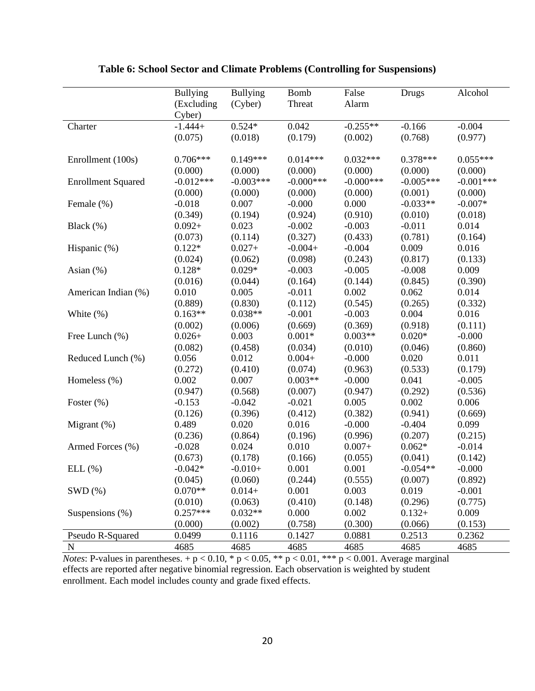|                           | <b>Bullying</b> | <b>Bullying</b> | <b>Bomb</b>  | False        | Drugs       | Alcohol     |
|---------------------------|-----------------|-----------------|--------------|--------------|-------------|-------------|
|                           | (Excluding      | (Cyber)         | Threat       | Alarm        |             |             |
|                           | Cyber)          |                 |              |              |             |             |
| Charter                   | $-1.444+$       | $0.524*$        | 0.042        | $-0.255**$   | $-0.166$    | $-0.004$    |
|                           | (0.075)         | (0.018)         | (0.179)      | (0.002)      | (0.768)     | (0.977)     |
|                           |                 |                 |              |              |             |             |
| Enrollment (100s)         | $0.706***$      | $0.149***$      | $0.014***$   | $0.032***$   | $0.378***$  | $0.055***$  |
|                           | (0.000)         | (0.000)         | (0.000)      | (0.000)      | (0.000)     | (0.000)     |
| <b>Enrollment Squared</b> | $-0.012***$     | $-0.003***$     | $-0.000$ *** | $-0.000$ *** | $-0.005***$ | $-0.001***$ |
|                           | (0.000)         | (0.000)         | (0.000)      | (0.000)      | (0.001)     | (0.000)     |
| Female (%)                | $-0.018$        | 0.007           | $-0.000$     | 0.000        | $-0.033**$  | $-0.007*$   |
|                           | (0.349)         | (0.194)         | (0.924)      | (0.910)      | (0.010)     | (0.018)     |
| Black (%)                 | $0.092 +$       | 0.023           | $-0.002$     | $-0.003$     | $-0.011$    | 0.014       |
|                           | (0.073)         | (0.114)         | (0.327)      | (0.433)      | (0.781)     | (0.164)     |
| Hispanic (%)              | $0.122*$        | $0.027+$        | $-0.004+$    | $-0.004$     | 0.009       | 0.016       |
|                           | (0.024)         | (0.062)         | (0.098)      | (0.243)      | (0.817)     | (0.133)     |
| Asian (%)                 | $0.128*$        | $0.029*$        | $-0.003$     | $-0.005$     | $-0.008$    | 0.009       |
|                           | (0.016)         | (0.044)         | (0.164)      | (0.144)      | (0.845)     | (0.390)     |
| American Indian (%)       | 0.010           | 0.005           | $-0.011$     | 0.002        | 0.062       | 0.014       |
|                           | (0.889)         | (0.830)         | (0.112)      | (0.545)      | (0.265)     | (0.332)     |
| White $(\%)$              | $0.163**$       | $0.038**$       | $-0.001$     | $-0.003$     | 0.004       | 0.016       |
|                           | (0.002)         | (0.006)         | (0.669)      | (0.369)      | (0.918)     | (0.111)     |
| Free Lunch (%)            | $0.026+$        | 0.003           | $0.001*$     | $0.003**$    | $0.020*$    | $-0.000$    |
|                           | (0.082)         | (0.458)         | (0.034)      | (0.010)      | (0.046)     | (0.860)     |
| Reduced Lunch (%)         | 0.056           | 0.012           | $0.004+$     | $-0.000$     | 0.020       | 0.011       |
|                           | (0.272)         | (0.410)         | (0.074)      | (0.963)      | (0.533)     | (0.179)     |
| Homeless (%)              | 0.002           | 0.007           | $0.003**$    | $-0.000$     | 0.041       | $-0.005$    |
|                           | (0.947)         | (0.568)         | (0.007)      | (0.947)      | (0.292)     | (0.536)     |
| Foster $(\%)$             | $-0.153$        | $-0.042$        | $-0.021$     | 0.005        | 0.002       | 0.006       |
|                           | (0.126)         | (0.396)         | (0.412)      | (0.382)      | (0.941)     | (0.669)     |
| Migrant $(\%)$            | 0.489           | 0.020           | 0.016        | $-0.000$     | $-0.404$    | 0.099       |
|                           | (0.236)         | (0.864)         | (0.196)      | (0.996)      | (0.207)     | (0.215)     |
| Armed Forces (%)          | $-0.028$        | 0.024           | 0.010        | $0.007+$     | $0.062*$    | $-0.014$    |
|                           | (0.673)         | (0.178)         | (0.166)      | (0.055)      | (0.041)     | (0.142)     |
| ELL(%)                    | $-0.042*$       | $-0.010+$       | 0.001        | 0.001        | $-0.054**$  | $-0.000$    |
|                           | (0.045)         | (0.060)         | (0.244)      | (0.555)      | (0.007)     | (0.892)     |
| SWD(%)                    | $0.070**$       | $0.014+$        | 0.001        | 0.003        | 0.019       | $-0.001$    |
|                           | (0.010)         | (0.063)         | (0.410)      | (0.148)      | (0.296)     | (0.775)     |
| Suspensions (%)           | $0.257***$      | $0.032**$       | 0.000        | 0.002        | $0.132 +$   | 0.009       |
|                           | (0.000)         | (0.002)         | (0.758)      | (0.300)      | (0.066)     | (0.153)     |
| Pseudo R-Squared          | 0.0499          | 0.1116          | 0.1427       | 0.0881       | 0.2513      | 0.2362      |
| ${\bf N}$                 | 4685            | 4685            | 4685         | 4685         | 4685        | 4685        |

# **Table 6: School Sector and Climate Problems (Controlling for Suspensions)**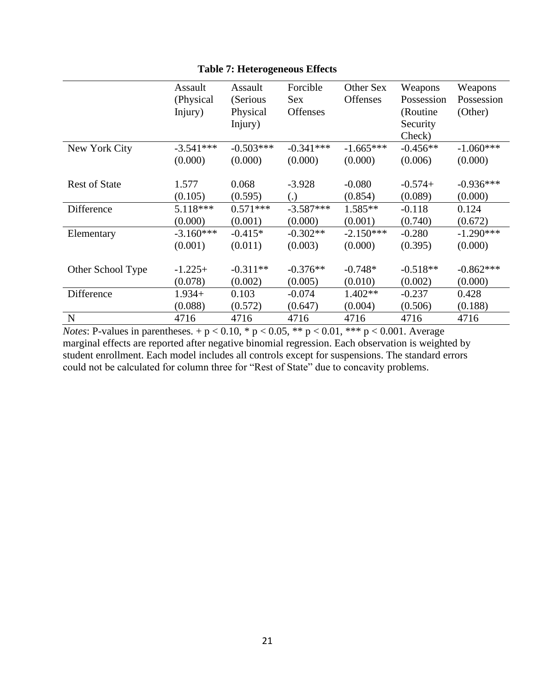|                      | Assault<br>(Physical)<br>Injury) | Assault<br>(Serious<br>Physical<br>Injury) | Forcible<br>Sex<br><b>Offenses</b> | Other Sex<br><b>Offenses</b> | Weapons<br>Possession<br>(Routine)<br>Security<br>Check) | Weapons<br>Possession<br>(Other) |
|----------------------|----------------------------------|--------------------------------------------|------------------------------------|------------------------------|----------------------------------------------------------|----------------------------------|
| New York City        | $-3.541***$                      | $-0.503***$                                | $-0.341***$                        | $-1.665***$                  | $-0.456**$                                               | $-1.060***$                      |
|                      | (0.000)                          | (0.000)                                    | (0.000)                            | (0.000)                      | (0.006)                                                  | (0.000)                          |
| <b>Rest of State</b> | 1.577                            | 0.068                                      | $-3.928$                           | $-0.080$                     | $-0.574+$                                                | $-0.936***$                      |
|                      | (0.105)                          | (0.595)                                    | $\left( .\right)$                  | (0.854)                      | (0.089)                                                  | (0.000)                          |
| Difference           | $5.118***$                       | $0.571***$                                 | $-3.587***$                        | $1.585**$                    | $-0.118$                                                 | 0.124                            |
|                      | (0.000)                          | (0.001)                                    | (0.000)                            | (0.001)                      | (0.740)                                                  | (0.672)                          |
| Elementary           | $-3.160***$                      | $-0.415*$                                  | $-0.302**$                         | $-2.150***$                  | $-0.280$                                                 | $-1.290***$                      |
|                      | (0.001)                          | (0.011)                                    | (0.003)                            | (0.000)                      | (0.395)                                                  | (0.000)                          |
| Other School Type    | $-1.225+$                        | $-0.311**$                                 | $-0.376**$                         | $-0.748*$                    | $-0.518**$                                               | $-0.862***$                      |
|                      | (0.078)                          | (0.002)                                    | (0.005)                            | (0.010)                      | (0.002)                                                  | (0.000)                          |
| Difference           | $1.934+$                         | 0.103                                      | $-0.074$                           | $1.402**$                    | $-0.237$                                                 | 0.428                            |
|                      | (0.088)                          | (0.572)                                    | (0.647)                            | (0.004)                      | (0.506)                                                  | (0.188)                          |
| N                    | 4716                             | 4716                                       | 4716                               | 4716                         | 4716                                                     | 4716                             |

## **Table 7: Heterogeneous Effects**

*Notes*: P-values in parentheses.  $+p < 0.10$ , \*  $p < 0.05$ , \*\*  $p < 0.01$ , \*\*\*  $p < 0.001$ . Average marginal effects are reported after negative binomial regression. Each observation is weighted by student enrollment. Each model includes all controls except for suspensions. The standard errors could not be calculated for column three for "Rest of State" due to concavity problems.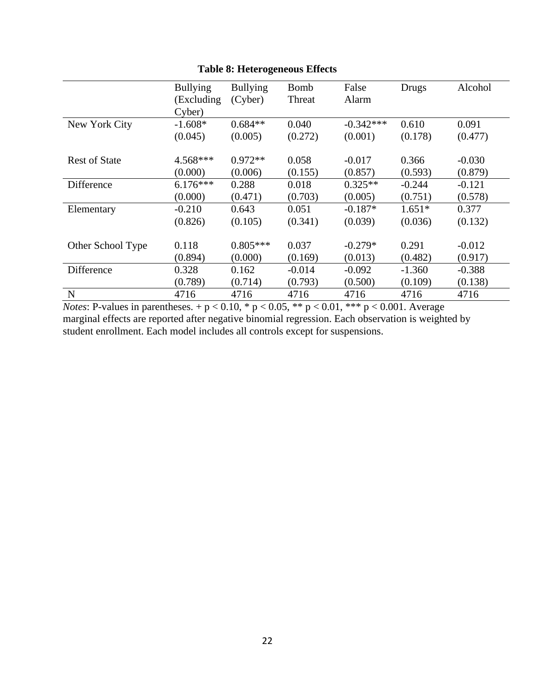|                      | <b>Bullying</b> | <b>Bullying</b> | <b>Bomb</b> | False       | Drugs    | Alcohol  |
|----------------------|-----------------|-----------------|-------------|-------------|----------|----------|
|                      | (Excluding)     | (Cyber)         | Threat      | Alarm       |          |          |
|                      | Cyber)          |                 |             |             |          |          |
| New York City        | $-1.608*$       | $0.684**$       | 0.040       | $-0.342***$ | 0.610    | 0.091    |
|                      | (0.045)         | (0.005)         | (0.272)     | (0.001)     | (0.178)  | (0.477)  |
|                      |                 |                 |             |             |          |          |
| <b>Rest of State</b> | $4.568***$      | $0.972**$       | 0.058       | $-0.017$    | 0.366    | $-0.030$ |
|                      | (0.000)         | (0.006)         | (0.155)     | (0.857)     | (0.593)  | (0.879)  |
| Difference           | $6.176***$      | 0.288           | 0.018       | $0.325**$   | $-0.244$ | $-0.121$ |
|                      | (0.000)         | (0.471)         | (0.703)     | (0.005)     | (0.751)  | (0.578)  |
| Elementary           | $-0.210$        | 0.643           | 0.051       | $-0.187*$   | $1.651*$ | 0.377    |
|                      | (0.826)         | (0.105)         | (0.341)     | (0.039)     | (0.036)  | (0.132)  |
|                      |                 |                 |             |             |          |          |
| Other School Type    | 0.118           | $0.805***$      | 0.037       | $-0.279*$   | 0.291    | $-0.012$ |
|                      | (0.894)         | (0.000)         | (0.169)     | (0.013)     | (0.482)  | (0.917)  |
| Difference           | 0.328           | 0.162           | $-0.014$    | $-0.092$    | $-1.360$ | $-0.388$ |
|                      | (0.789)         | (0.714)         | (0.793)     | (0.500)     | (0.109)  | (0.138)  |
| N                    | 4716            | 4716            | 4716        | 4716        | 4716     | 4716     |

**Table 8: Heterogeneous Effects**

*Notes*: P-values in parentheses.  $+p < 0.10$ , \*  $p < 0.05$ , \*\*  $p < 0.01$ , \*\*\*  $p < 0.001$ . Average marginal effects are reported after negative binomial regression. Each observation is weighted by student enrollment. Each model includes all controls except for suspensions.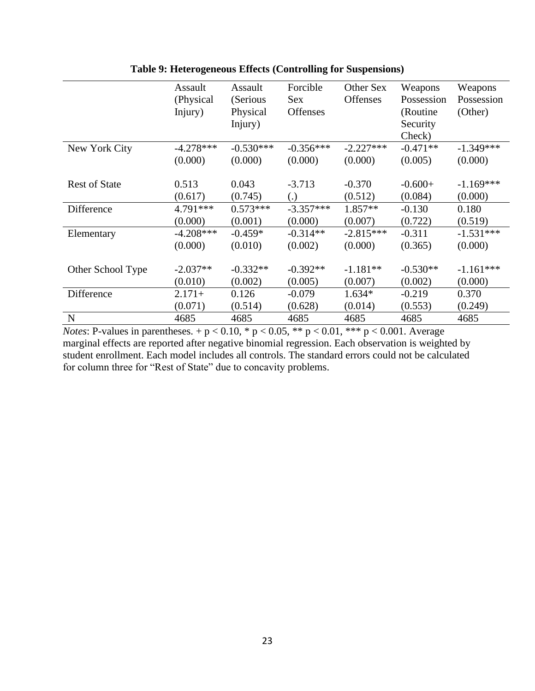|                      | Assault<br>(Physical)<br>Injury) | Assault<br>(Serious<br>Physical<br>Injury) | Forcible<br>Sex<br><b>Offenses</b> | Other Sex<br><b>Offenses</b> | Weapons<br>Possession<br>(Routine)<br>Security<br>Check) | Weapons<br>Possession<br>(Other) |
|----------------------|----------------------------------|--------------------------------------------|------------------------------------|------------------------------|----------------------------------------------------------|----------------------------------|
| New York City        | $-4.278***$                      | $-0.530***$                                | $-0.356***$                        | $-2.227***$                  | $-0.471**$                                               | $-1.349***$                      |
|                      | (0.000)                          | (0.000)                                    | (0.000)                            | (0.000)                      | (0.005)                                                  | (0.000)                          |
| <b>Rest of State</b> | 0.513                            | 0.043                                      | $-3.713$                           | $-0.370$                     | $-0.600+$                                                | $-1.169***$                      |
|                      | (0.617)                          | (0.745)                                    | $\left( .\right)$                  | (0.512)                      | (0.084)                                                  | (0.000)                          |
| Difference           | 4.791***                         | $0.573***$                                 | $-3.357***$                        | $1.857**$                    | $-0.130$                                                 | 0.180                            |
|                      | (0.000)                          | (0.001)                                    | (0.000)                            | (0.007)                      | (0.722)                                                  | (0.519)                          |
| Elementary           | $-4.208***$                      | $-0.459*$                                  | $-0.314**$                         | $-2.815***$                  | $-0.311$                                                 | $-1.531***$                      |
|                      | (0.000)                          | (0.010)                                    | (0.002)                            | (0.000)                      | (0.365)                                                  | (0.000)                          |
| Other School Type    | $-2.037**$                       | $-0.332**$                                 | $-0.392**$                         | $-1.181**$                   | $-0.530**$                                               | $-1.161***$                      |
|                      | (0.010)                          | (0.002)                                    | (0.005)                            | (0.007)                      | (0.002)                                                  | (0.000)                          |
| Difference           | $2.171+$                         | 0.126                                      | $-0.079$                           | $1.634*$                     | $-0.219$                                                 | 0.370                            |
|                      | (0.071)                          | (0.514)                                    | (0.628)                            | (0.014)                      | (0.553)                                                  | (0.249)                          |
| $\mathbf N$          | 4685                             | 4685                                       | 4685                               | 4685                         | 4685                                                     | 4685                             |

| Table 9: Heterogeneous Effects (Controlling for Suspensions) |  |  |  |
|--------------------------------------------------------------|--|--|--|
|                                                              |  |  |  |

*Notes*: P-values in parentheses.  $+p < 0.10$ , \*  $p < 0.05$ , \*\*  $p < 0.01$ , \*\*\*  $p < 0.001$ . Average marginal effects are reported after negative binomial regression. Each observation is weighted by student enrollment. Each model includes all controls. The standard errors could not be calculated for column three for "Rest of State" due to concavity problems.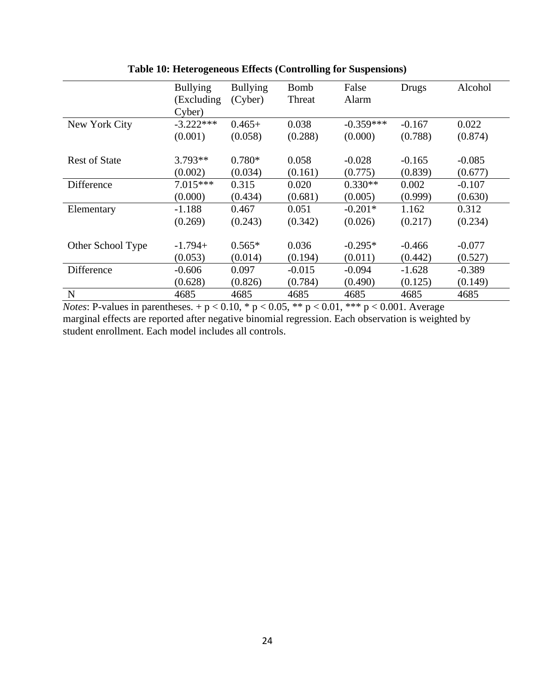|                      | <b>Bullying</b> | <b>Bullying</b> | <b>Bomb</b> | False       | Drugs    | Alcohol  |
|----------------------|-----------------|-----------------|-------------|-------------|----------|----------|
|                      | (Excluding)     | (Cyber)         | Threat      | Alarm       |          |          |
|                      | Cyber)          |                 |             |             |          |          |
| New York City        | $-3.222***$     | $0.465+$        | 0.038       | $-0.359***$ | $-0.167$ | 0.022    |
|                      | (0.001)         | (0.058)         | (0.288)     | (0.000)     | (0.788)  | (0.874)  |
|                      |                 |                 |             |             |          |          |
| <b>Rest of State</b> | $3.793**$       | $0.780*$        | 0.058       | $-0.028$    | $-0.165$ | $-0.085$ |
|                      | (0.002)         | (0.034)         | (0.161)     | (0.775)     | (0.839)  | (0.677)  |
| Difference           | $7.015***$      | 0.315           | 0.020       | $0.330**$   | 0.002    | $-0.107$ |
|                      | (0.000)         | (0.434)         | (0.681)     | (0.005)     | (0.999)  | (0.630)  |
| Elementary           | $-1.188$        | 0.467           | 0.051       | $-0.201*$   | 1.162    | 0.312    |
|                      | (0.269)         | (0.243)         | (0.342)     | (0.026)     | (0.217)  | (0.234)  |
|                      |                 |                 |             |             |          |          |
| Other School Type    | $-1.794+$       | $0.565*$        | 0.036       | $-0.295*$   | $-0.466$ | $-0.077$ |
|                      | (0.053)         | (0.014)         | (0.194)     | (0.011)     | (0.442)  | (0.527)  |
| Difference           | $-0.606$        | 0.097           | $-0.015$    | $-0.094$    | $-1.628$ | $-0.389$ |
|                      | (0.628)         | (0.826)         | (0.784)     | (0.490)     | (0.125)  | (0.149)  |
| N                    | 4685            | 4685            | 4685        | 4685        | 4685     | 4685     |

**Table 10: Heterogeneous Effects (Controlling for Suspensions)**

*Notes*: P-values in parentheses.  $+p < 0.10$ , \*  $p < 0.05$ , \*\*  $p < 0.01$ , \*\*\*  $p < 0.001$ . Average marginal effects are reported after negative binomial regression. Each observation is weighted by student enrollment. Each model includes all controls.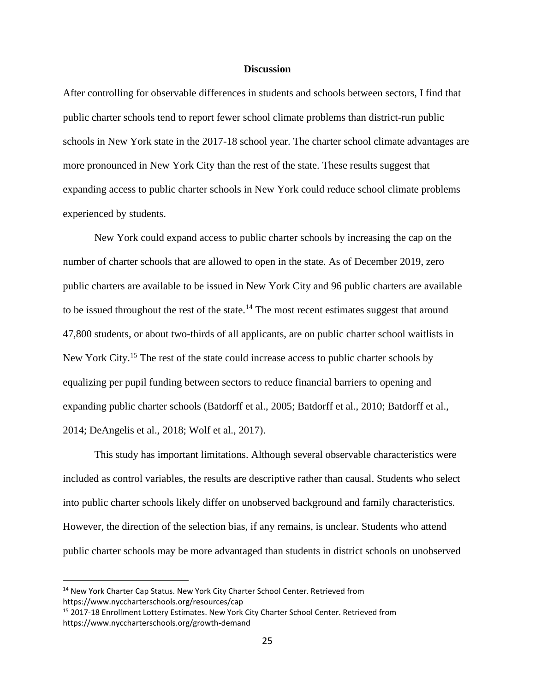#### **Discussion**

After controlling for observable differences in students and schools between sectors, I find that public charter schools tend to report fewer school climate problems than district-run public schools in New York state in the 2017-18 school year. The charter school climate advantages are more pronounced in New York City than the rest of the state. These results suggest that expanding access to public charter schools in New York could reduce school climate problems experienced by students.

New York could expand access to public charter schools by increasing the cap on the number of charter schools that are allowed to open in the state. As of December 2019, zero public charters are available to be issued in New York City and 96 public charters are available to be issued throughout the rest of the state.<sup>14</sup> The most recent estimates suggest that around 47,800 students, or about two-thirds of all applicants, are on public charter school waitlists in New York City.<sup>15</sup> The rest of the state could increase access to public charter schools by equalizing per pupil funding between sectors to reduce financial barriers to opening and expanding public charter schools (Batdorff et al., 2005; Batdorff et al., 2010; Batdorff et al., 2014; DeAngelis et al., 2018; Wolf et al., 2017).

This study has important limitations. Although several observable characteristics were included as control variables, the results are descriptive rather than causal. Students who select into public charter schools likely differ on unobserved background and family characteristics. However, the direction of the selection bias, if any remains, is unclear. Students who attend public charter schools may be more advantaged than students in district schools on unobserved

<sup>&</sup>lt;sup>14</sup> New York Charter Cap Status. New York City Charter School Center. Retrieved from https://www.nyccharterschools.org/resources/cap

<sup>&</sup>lt;sup>15</sup> 2017-18 Enrollment Lottery Estimates. New York City Charter School Center. Retrieved from https://www.nyccharterschools.org/growth-demand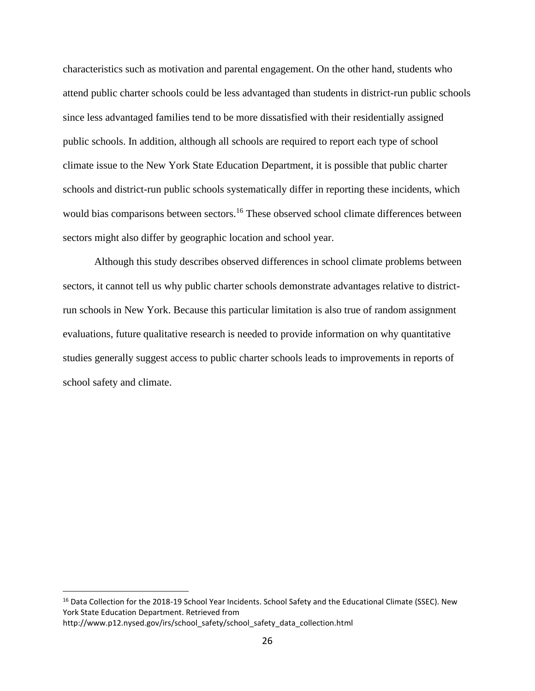characteristics such as motivation and parental engagement. On the other hand, students who attend public charter schools could be less advantaged than students in district-run public schools since less advantaged families tend to be more dissatisfied with their residentially assigned public schools. In addition, although all schools are required to report each type of school climate issue to the New York State Education Department, it is possible that public charter schools and district-run public schools systematically differ in reporting these incidents, which would bias comparisons between sectors.<sup>16</sup> These observed school climate differences between sectors might also differ by geographic location and school year.

Although this study describes observed differences in school climate problems between sectors, it cannot tell us why public charter schools demonstrate advantages relative to districtrun schools in New York. Because this particular limitation is also true of random assignment evaluations, future qualitative research is needed to provide information on why quantitative studies generally suggest access to public charter schools leads to improvements in reports of school safety and climate.

<sup>&</sup>lt;sup>16</sup> Data Collection for the 2018-19 School Year Incidents. School Safety and the Educational Climate (SSEC). New York State Education Department. Retrieved from

http://www.p12.nysed.gov/irs/school\_safety/school\_safety\_data\_collection.html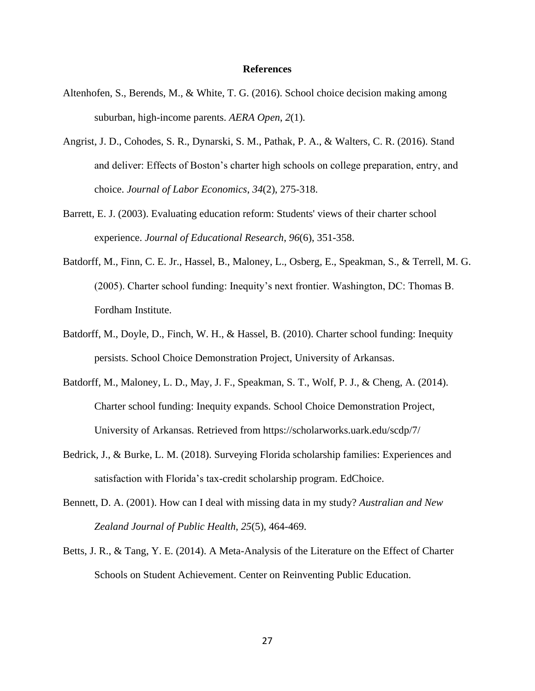#### **References**

- Altenhofen, S., Berends, M., & White, T. G. (2016). School choice decision making among suburban, high-income parents. *AERA Open*, *2*(1).
- Angrist, J. D., Cohodes, S. R., Dynarski, S. M., Pathak, P. A., & Walters, C. R. (2016). Stand and deliver: Effects of Boston's charter high schools on college preparation, entry, and choice. *Journal of Labor Economics*, *34*(2), 275-318.
- Barrett, E. J. (2003). Evaluating education reform: Students' views of their charter school experience. *Journal of Educational Research*, *96*(6), 351-358.
- Batdorff, M., Finn, C. E. Jr., Hassel, B., Maloney, L., Osberg, E., Speakman, S., & Terrell, M. G. (2005). Charter school funding: Inequity's next frontier. Washington, DC: Thomas B. Fordham Institute.
- Batdorff, M., Doyle, D., Finch, W. H., & Hassel, B. (2010). Charter school funding: Inequity persists. School Choice Demonstration Project, University of Arkansas.
- Batdorff, M., Maloney, L. D., May, J. F., Speakman, S. T., Wolf, P. J., & Cheng, A. (2014). Charter school funding: Inequity expands. School Choice Demonstration Project, University of Arkansas. Retrieved from https://scholarworks.uark.edu/scdp/7/
- Bedrick, J., & Burke, L. M. (2018). Surveying Florida scholarship families: Experiences and satisfaction with Florida's tax-credit scholarship program. EdChoice.
- Bennett, D. A. (2001). How can I deal with missing data in my study? *Australian and New Zealand Journal of Public Health*, *25*(5), 464-469.
- Betts, J. R., & Tang, Y. E. (2014). A Meta-Analysis of the Literature on the Effect of Charter Schools on Student Achievement. Center on Reinventing Public Education.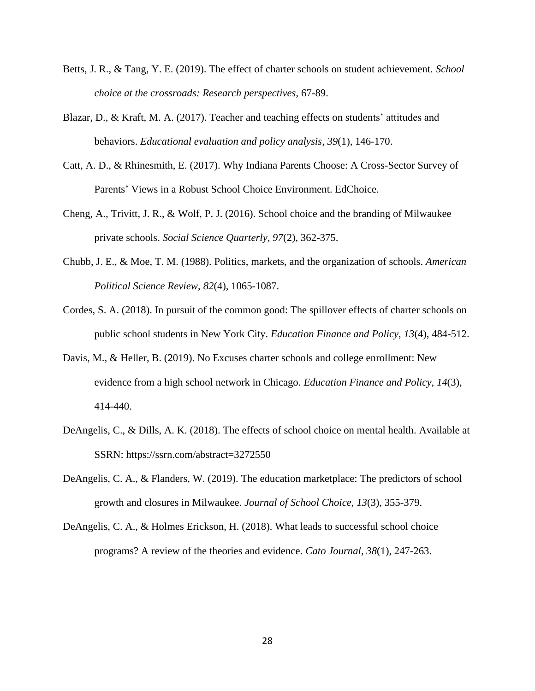- Betts, J. R., & Tang, Y. E. (2019). The effect of charter schools on student achievement. *School choice at the crossroads: Research perspectives*, 67-89.
- Blazar, D., & Kraft, M. A. (2017). Teacher and teaching effects on students' attitudes and behaviors. *Educational evaluation and policy analysis*, *39*(1), 146-170.
- Catt, A. D., & Rhinesmith, E. (2017). Why Indiana Parents Choose: A Cross-Sector Survey of Parents' Views in a Robust School Choice Environment. EdChoice.
- Cheng, A., Trivitt, J. R., & Wolf, P. J. (2016). School choice and the branding of Milwaukee private schools. *Social Science Quarterly*, *97*(2), 362-375.
- Chubb, J. E., & Moe, T. M. (1988). Politics, markets, and the organization of schools. *American Political Science Review*, *82*(4), 1065-1087.
- Cordes, S. A. (2018). In pursuit of the common good: The spillover effects of charter schools on public school students in New York City. *Education Finance and Policy*, *13*(4), 484-512.
- Davis, M., & Heller, B. (2019). No Excuses charter schools and college enrollment: New evidence from a high school network in Chicago. *Education Finance and Policy*, *14*(3), 414-440.
- DeAngelis, C., & Dills, A. K. (2018). The effects of school choice on mental health. Available at SSRN: https://ssrn.com/abstract=3272550
- DeAngelis, C. A., & Flanders, W. (2019). The education marketplace: The predictors of school growth and closures in Milwaukee. *Journal of School Choice*, *13*(3), 355-379.
- DeAngelis, C. A., & Holmes Erickson, H. (2018). What leads to successful school choice programs? A review of the theories and evidence. *Cato Journal*, *38*(1), 247-263.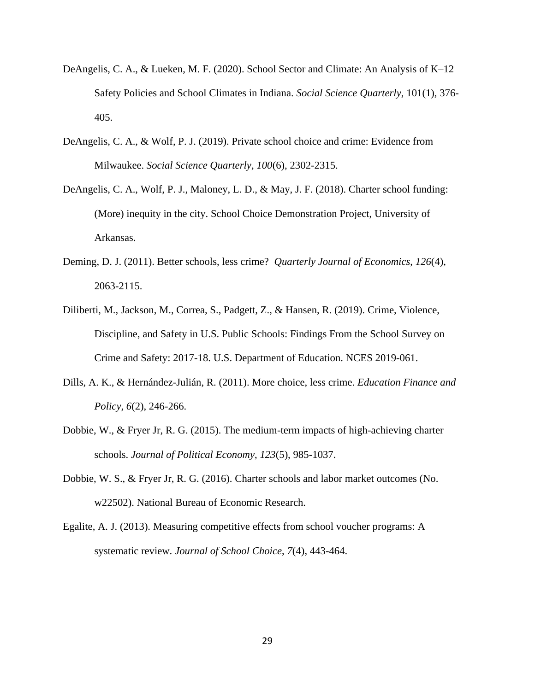- DeAngelis, C. A., & Lueken, M. F. (2020). School Sector and Climate: An Analysis of K–12 Safety Policies and School Climates in Indiana. *Social Science Quarterly*, 101(1), 376- 405.
- DeAngelis, C. A., & Wolf, P. J. (2019). Private school choice and crime: Evidence from Milwaukee. *Social Science Quarterly*, *100*(6), 2302-2315.
- DeAngelis, C. A., Wolf, P. J., Maloney, L. D., & May, J. F. (2018). Charter school funding: (More) inequity in the city. School Choice Demonstration Project, University of Arkansas.
- Deming, D. J. (2011). Better schools, less crime? *Quarterly Journal of Economics*, *126*(4), 2063-2115.
- Diliberti, M., Jackson, M., Correa, S., Padgett, Z., & Hansen, R. (2019). Crime, Violence, Discipline, and Safety in U.S. Public Schools: Findings From the School Survey on Crime and Safety: 2017-18. U.S. Department of Education. NCES 2019-061.
- Dills, A. K., & Hernández-Julián, R. (2011). More choice, less crime. *Education Finance and Policy*, *6*(2), 246-266.
- Dobbie, W., & Fryer Jr, R. G. (2015). The medium-term impacts of high-achieving charter schools. *Journal of Political Economy*, *123*(5), 985-1037.
- Dobbie, W. S., & Fryer Jr, R. G. (2016). Charter schools and labor market outcomes (No. w22502). National Bureau of Economic Research.
- Egalite, A. J. (2013). Measuring competitive effects from school voucher programs: A systematic review. *Journal of School Choice*, *7*(4), 443-464.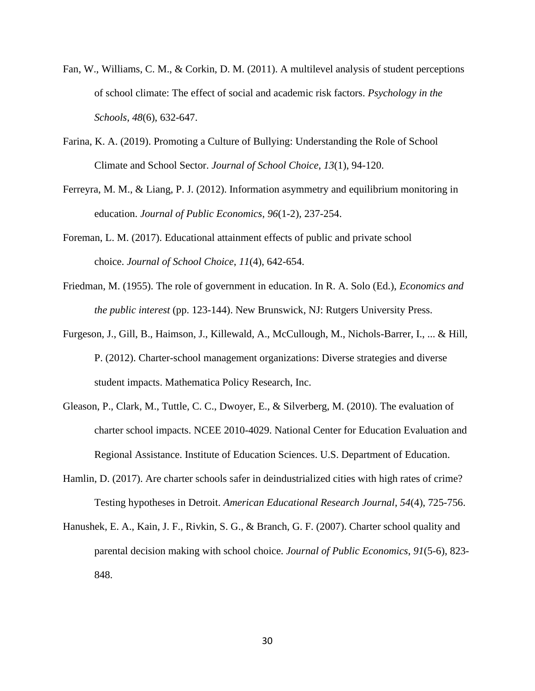- Fan, W., Williams, C. M., & Corkin, D. M. (2011). A multilevel analysis of student perceptions of school climate: The effect of social and academic risk factors. *Psychology in the Schools*, *48*(6), 632-647.
- Farina, K. A. (2019). Promoting a Culture of Bullying: Understanding the Role of School Climate and School Sector. *Journal of School Choice*, *13*(1), 94-120.
- Ferreyra, M. M., & Liang, P. J. (2012). Information asymmetry and equilibrium monitoring in education. *Journal of Public Economics*, *96*(1-2), 237-254.
- Foreman, L. M. (2017). Educational attainment effects of public and private school choice. *Journal of School Choice*, *11*(4), 642-654.
- Friedman, M. (1955). The role of government in education. In R. A. Solo (Ed.), *Economics and the public interest* (pp. 123-144). New Brunswick, NJ: Rutgers University Press.
- Furgeson, J., Gill, B., Haimson, J., Killewald, A., McCullough, M., Nichols-Barrer, I., ... & Hill, P. (2012). Charter-school management organizations: Diverse strategies and diverse student impacts. Mathematica Policy Research, Inc.
- Gleason, P., Clark, M., Tuttle, C. C., Dwoyer, E., & Silverberg, M. (2010). The evaluation of charter school impacts. NCEE 2010-4029. National Center for Education Evaluation and Regional Assistance. Institute of Education Sciences. U.S. Department of Education.
- Hamlin, D. (2017). Are charter schools safer in deindustrialized cities with high rates of crime? Testing hypotheses in Detroit. *American Educational Research Journal*, *54*(4), 725-756.
- Hanushek, E. A., Kain, J. F., Rivkin, S. G., & Branch, G. F. (2007). Charter school quality and parental decision making with school choice. *Journal of Public Economics*, *91*(5-6), 823- 848.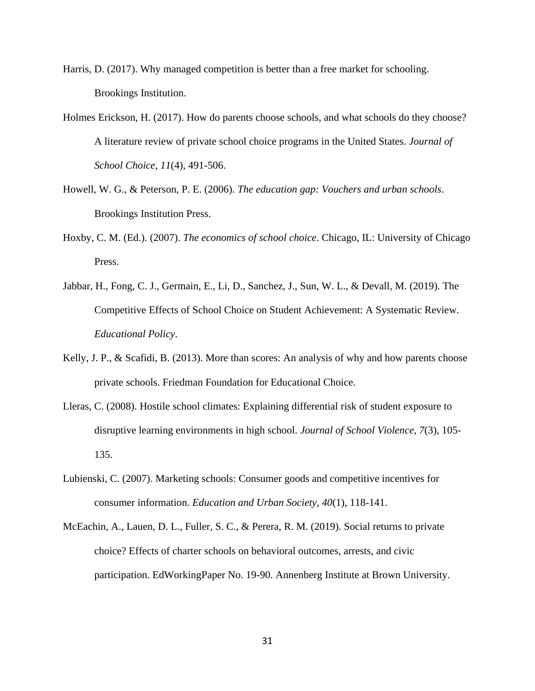- Harris, D. (2017). Why managed competition is better than a free market for schooling. Brookings Institution.
- Holmes Erickson, H. (2017). How do parents choose schools, and what schools do they choose? A literature review of private school choice programs in the United States. *Journal of School Choice*, *11*(4), 491-506.
- Howell, W. G., & Peterson, P. E. (2006). *The education gap: Vouchers and urban schools*. Brookings Institution Press.
- Hoxby, C. M. (Ed.). (2007). *The economics of school choice*. Chicago, IL: University of Chicago Press.
- Jabbar, H., Fong, C. J., Germain, E., Li, D., Sanchez, J., Sun, W. L., & Devall, M. (2019). The Competitive Effects of School Choice on Student Achievement: A Systematic Review. *Educational Policy*.
- Kelly, J. P., & Scafidi, B. (2013). More than scores: An analysis of why and how parents choose private schools. Friedman Foundation for Educational Choice.
- Lleras, C. (2008). Hostile school climates: Explaining differential risk of student exposure to disruptive learning environments in high school. *Journal of School Violence*, *7*(3), 105- 135.
- Lubienski, C. (2007). Marketing schools: Consumer goods and competitive incentives for consumer information. *Education and Urban Society*, *40*(1), 118-141.
- McEachin, A., Lauen, D. L., Fuller, S. C., & Perera, R. M. (2019). Social returns to private choice? Effects of charter schools on behavioral outcomes, arrests, and civic participation. EdWorkingPaper No. 19-90. Annenberg Institute at Brown University.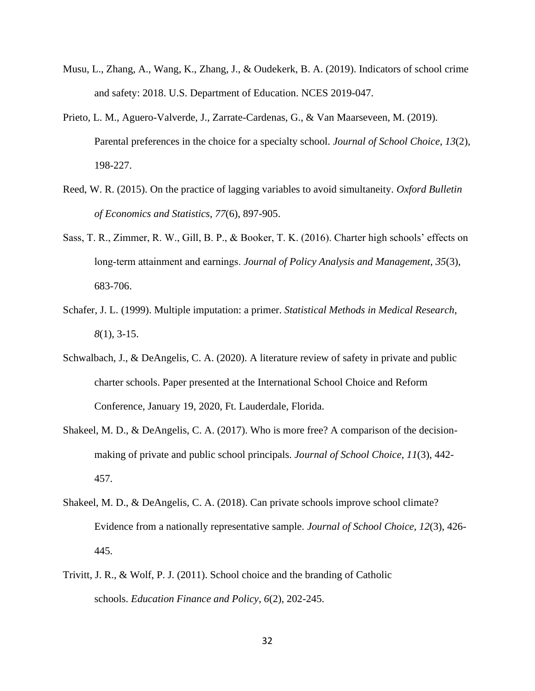- Musu, L., Zhang, A., Wang, K., Zhang, J., & Oudekerk, B. A. (2019). Indicators of school crime and safety: 2018. U.S. Department of Education. NCES 2019-047.
- Prieto, L. M., Aguero-Valverde, J., Zarrate-Cardenas, G., & Van Maarseveen, M. (2019). Parental preferences in the choice for a specialty school. *Journal of School Choice*, *13*(2), 198-227.
- Reed, W. R. (2015). On the practice of lagging variables to avoid simultaneity. *Oxford Bulletin of Economics and Statistics*, *77*(6), 897-905.
- Sass, T. R., Zimmer, R. W., Gill, B. P., & Booker, T. K. (2016). Charter high schools' effects on long‐term attainment and earnings. *Journal of Policy Analysis and Management*, *35*(3), 683-706.
- Schafer, J. L. (1999). Multiple imputation: a primer. *Statistical Methods in Medical Research*, *8*(1), 3-15.
- Schwalbach, J., & DeAngelis, C. A. (2020). A literature review of safety in private and public charter schools. Paper presented at the International School Choice and Reform Conference, January 19, 2020, Ft. Lauderdale, Florida.
- Shakeel, M. D., & DeAngelis, C. A. (2017). Who is more free? A comparison of the decisionmaking of private and public school principals. *Journal of School Choice*, *11*(3), 442- 457.
- Shakeel, M. D., & DeAngelis, C. A. (2018). Can private schools improve school climate? Evidence from a nationally representative sample. *Journal of School Choice*, *12*(3), 426- 445.
- Trivitt, J. R., & Wolf, P. J. (2011). School choice and the branding of Catholic schools. *Education Finance and Policy*, *6*(2), 202-245.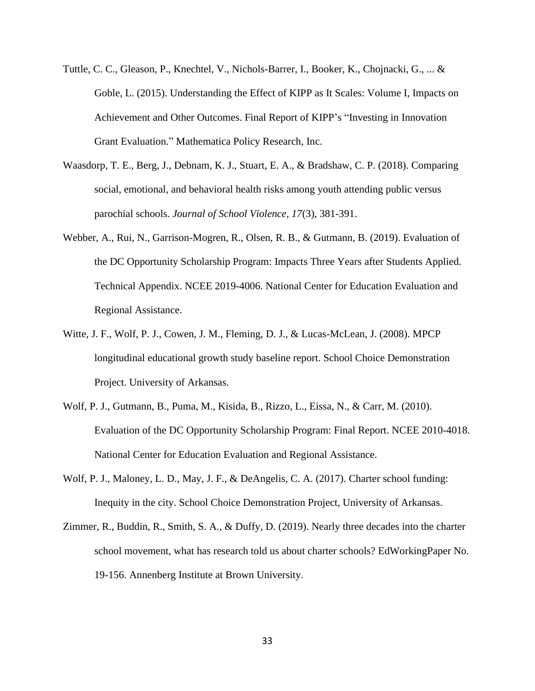- Tuttle, C. C., Gleason, P., Knechtel, V., Nichols-Barrer, I., Booker, K., Chojnacki, G., ... & Goble, L. (2015). Understanding the Effect of KIPP as It Scales: Volume I, Impacts on Achievement and Other Outcomes. Final Report of KIPP's "Investing in Innovation Grant Evaluation." Mathematica Policy Research, Inc.
- Waasdorp, T. E., Berg, J., Debnam, K. J., Stuart, E. A., & Bradshaw, C. P. (2018). Comparing social, emotional, and behavioral health risks among youth attending public versus parochial schools. *Journal of School Violence*, *17*(3), 381-391.
- Webber, A., Rui, N., Garrison-Mogren, R., Olsen, R. B., & Gutmann, B. (2019). Evaluation of the DC Opportunity Scholarship Program: Impacts Three Years after Students Applied. Technical Appendix. NCEE 2019-4006. National Center for Education Evaluation and Regional Assistance.
- Witte, J. F., Wolf, P. J., Cowen, J. M., Fleming, D. J., & Lucas-McLean, J. (2008). MPCP longitudinal educational growth study baseline report. School Choice Demonstration Project. University of Arkansas.
- Wolf, P. J., Gutmann, B., Puma, M., Kisida, B., Rizzo, L., Eissa, N., & Carr, M. (2010). Evaluation of the DC Opportunity Scholarship Program: Final Report. NCEE 2010-4018. National Center for Education Evaluation and Regional Assistance.
- Wolf, P. J., Maloney, L. D., May, J. F., & DeAngelis, C. A. (2017). Charter school funding: Inequity in the city. School Choice Demonstration Project, University of Arkansas.
- Zimmer, R., Buddin, R., Smith, S. A., & Duffy, D. (2019). Nearly three decades into the charter school movement, what has research told us about charter schools? EdWorkingPaper No. 19-156. Annenberg Institute at Brown University.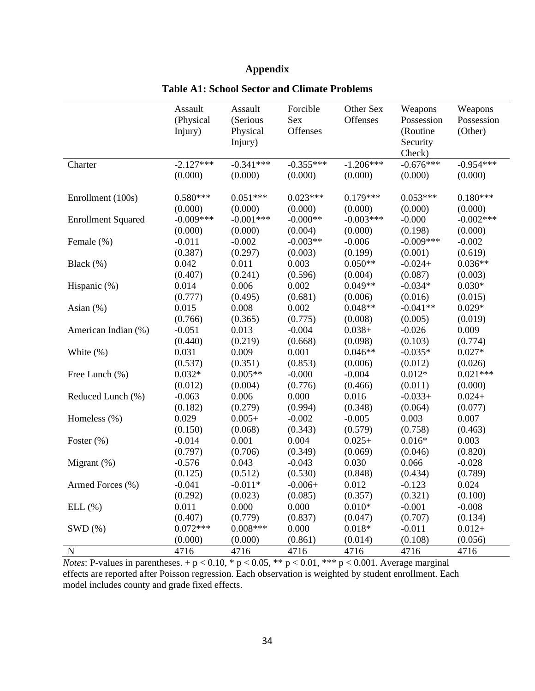## **Appendix**

|                           | Assault<br>(Physical<br>Injury) | Assault<br>(Serious<br>Physical<br>Injury) | Forcible<br>Sex<br>Offenses | Other Sex<br>Offenses | Weapons<br>Possession<br>(Routine<br>Security<br>Check) | Weapons<br>Possession<br>(Other) |
|---------------------------|---------------------------------|--------------------------------------------|-----------------------------|-----------------------|---------------------------------------------------------|----------------------------------|
| Charter                   | $-2.127***$                     | $-0.341***$                                | $-0.355***$                 | $-1.206***$           | $-0.676***$                                             | $-0.954***$                      |
|                           | (0.000)                         | (0.000)                                    | (0.000)                     | (0.000)               | (0.000)                                                 | (0.000)                          |
| Enrollment (100s)         | $0.580***$                      | $0.051***$                                 | $0.023***$                  | $0.179***$            | $0.053***$                                              | $0.180***$                       |
|                           | (0.000)                         | (0.000)                                    | (0.000)                     | (0.000)               | (0.000)                                                 | (0.000)                          |
| <b>Enrollment Squared</b> | $-0.009***$                     | $-0.001***$                                | $-0.000**$                  | $-0.003***$           | $-0.000$                                                | $-0.002***$                      |
|                           | (0.000)                         | (0.000)                                    | (0.004)                     | (0.000)               | (0.198)                                                 | (0.000)                          |
| Female (%)                | $-0.011$                        | $-0.002$                                   | $-0.003**$                  | $-0.006$              | $-0.009***$                                             | $-0.002$                         |
|                           | (0.387)                         | (0.297)                                    | (0.003)                     | (0.199)               | (0.001)                                                 | (0.619)                          |
| Black (%)                 | 0.042                           | 0.011                                      | 0.003                       | $0.050**$             | $-0.024+$                                               | $0.036**$                        |
|                           | (0.407)                         | (0.241)                                    | (0.596)                     | (0.004)               | (0.087)                                                 | (0.003)                          |
| Hispanic (%)              | 0.014                           | 0.006                                      | 0.002                       | $0.049**$             | $-0.034*$                                               | $0.030*$                         |
|                           | (0.777)                         | (0.495)                                    | (0.681)                     | (0.006)               | (0.016)                                                 | (0.015)                          |
| Asian (%)                 | 0.015                           | $0.008\,$                                  | 0.002                       | $0.048**$             | $-0.041**$                                              | $0.029*$                         |
|                           | (0.766)                         | (0.365)                                    | (0.775)                     | (0.008)               | (0.005)                                                 | (0.019)                          |
| American Indian (%)       | $-0.051$                        | 0.013                                      | $-0.004$                    | $0.038+$              | $-0.026$                                                | 0.009                            |
|                           | (0.440)                         | (0.219)                                    | (0.668)                     | (0.098)               | (0.103)                                                 | (0.774)                          |
| White (%)                 | 0.031                           | 0.009                                      | 0.001                       | $0.046**$             | $-0.035*$                                               | $0.027*$                         |
|                           | (0.537)                         | (0.351)                                    | (0.853)                     | (0.006)               | (0.012)                                                 | (0.026)                          |
| Free Lunch (%)            | $0.032*$                        | $0.005**$                                  | $-0.000$                    | $-0.004$              | $0.012*$                                                | $0.021***$                       |
|                           | (0.012)                         | (0.004)                                    | (0.776)                     | (0.466)               | (0.011)                                                 | (0.000)                          |
| Reduced Lunch (%)         | $-0.063$                        | 0.006                                      | 0.000                       | 0.016                 | $-0.033+$                                               | $0.024 +$                        |
|                           | (0.182)                         | (0.279)                                    | (0.994)                     | (0.348)               | (0.064)                                                 | (0.077)                          |
| Homeless (%)              | 0.029                           | $0.005+$                                   | $-0.002$                    | $-0.005$              | 0.003                                                   | 0.007                            |
|                           | (0.150)                         | (0.068)                                    | (0.343)                     | (0.579)               | (0.758)                                                 | (0.463)                          |
| Foster (%)                | $-0.014$                        | 0.001                                      | 0.004                       | $0.025+$              | $0.016*$                                                | 0.003                            |
|                           | (0.797)                         | (0.706)                                    | (0.349)                     | (0.069)               | (0.046)                                                 | (0.820)                          |
| Migrant (%)               | $-0.576$                        | 0.043                                      | $-0.043$                    | 0.030                 | 0.066                                                   | $-0.028$                         |
|                           | (0.125)                         | (0.512)                                    | (0.530)                     | (0.848)               | (0.434)                                                 | (0.789)                          |
| Armed Forces (%)          | $-0.041$                        | $-0.011*$                                  | $-0.006+$                   | 0.012                 | $-0.123$                                                | 0.024                            |
|                           | (0.292)                         | (0.023)                                    | (0.085)                     | (0.357)               | (0.321)                                                 | (0.100)                          |
| ELL(%)                    | 0.011                           | 0.000                                      | 0.000                       | $0.010*$              | $-0.001$                                                | $-0.008$                         |
|                           | (0.407)                         | (0.779)                                    | (0.837)                     | (0.047)               | (0.707)                                                 | (0.134)                          |
| SWD(%)                    | $0.072***$                      | $0.008***$                                 | 0.000                       | $0.018*$              | $-0.011$                                                | $0.012+$                         |
|                           | (0.000)                         | (0.000)                                    | (0.861)                     | (0.014)               | (0.108)                                                 | (0.056)                          |
| ${\bf N}$                 | 4716                            | 4716                                       | 4716                        | 4716                  | 4716                                                    | 4716                             |

## **Table A1: School Sector and Climate Problems**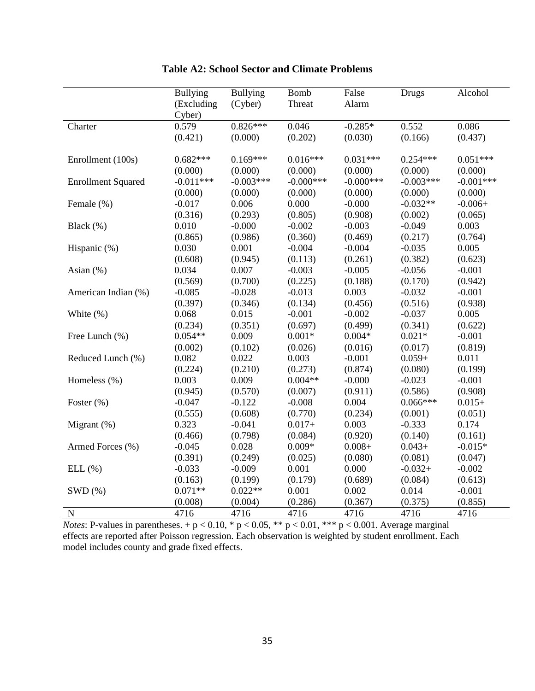|                           | <b>Bullying</b>      | <b>Bullying</b> | <b>Bomb</b> | False        | Drugs       | Alcohol     |
|---------------------------|----------------------|-----------------|-------------|--------------|-------------|-------------|
|                           | (Excluding<br>Cyber) | (Cyber)         | Threat      | Alarm        |             |             |
| Charter                   | 0.579                | $0.826***$      | 0.046       | $-0.285*$    | 0.552       | 0.086       |
|                           | (0.421)              | (0.000)         | (0.202)     | (0.030)      | (0.166)     | (0.437)     |
| Enrollment (100s)         | $0.682***$           | $0.169***$      | $0.016***$  | $0.031***$   | $0.254***$  | $0.051***$  |
|                           | (0.000)              | (0.000)         | (0.000)     | (0.000)      | (0.000)     | (0.000)     |
| <b>Enrollment Squared</b> | $-0.011***$          | $-0.003***$     | $-0.000***$ | $-0.000$ *** | $-0.003***$ | $-0.001***$ |
|                           | (0.000)              | (0.000)         | (0.000)     | (0.000)      | (0.000)     | (0.000)     |
| Female (%)                | $-0.017$             | 0.006           | 0.000       | $-0.000$     | $-0.032**$  | $-0.006+$   |
|                           | (0.316)              | (0.293)         | (0.805)     | (0.908)      | (0.002)     | (0.065)     |
| Black (%)                 | 0.010                | $-0.000$        | $-0.002$    | $-0.003$     | $-0.049$    | 0.003       |
|                           | (0.865)              | (0.986)         | (0.360)     | (0.469)      | (0.217)     | (0.764)     |
| Hispanic (%)              | 0.030                | 0.001           | $-0.004$    | $-0.004$     | $-0.035$    | 0.005       |
|                           | (0.608)              | (0.945)         | (0.113)     | (0.261)      | (0.382)     | (0.623)     |
| Asian $(\%)$              | 0.034                | 0.007           | $-0.003$    | $-0.005$     | $-0.056$    | $-0.001$    |
|                           | (0.569)              | (0.700)         | (0.225)     | (0.188)      | (0.170)     | (0.942)     |
| American Indian (%)       | $-0.085$             | $-0.028$        | $-0.013$    | 0.003        | $-0.032$    | $-0.001$    |
|                           | (0.397)              | (0.346)         | (0.134)     | (0.456)      | (0.516)     | (0.938)     |
| White $(\%)$              | 0.068                | 0.015           | $-0.001$    | $-0.002$     | $-0.037$    | 0.005       |
|                           | (0.234)              | (0.351)         | (0.697)     | (0.499)      | (0.341)     | (0.622)     |
| Free Lunch (%)            | $0.054**$            | 0.009           | $0.001*$    | $0.004*$     | $0.021*$    | $-0.001$    |
|                           | (0.002)              | (0.102)         | (0.026)     | (0.016)      | (0.017)     | (0.819)     |
| Reduced Lunch (%)         | 0.082                | 0.022           | 0.003       | $-0.001$     | $0.059+$    | 0.011       |
|                           | (0.224)              | (0.210)         | (0.273)     | (0.874)      | (0.080)     | (0.199)     |
| Homeless (%)              | 0.003                | 0.009           | $0.004**$   | $-0.000$     | $-0.023$    | $-0.001$    |
|                           | (0.945)              | (0.570)         | (0.007)     | (0.911)      | (0.586)     | (0.908)     |
| Foster $(\% )$            | $-0.047$             | $-0.122$        | $-0.008$    | 0.004        | $0.066***$  | $0.015+$    |
|                           | (0.555)              | (0.608)         | (0.770)     | (0.234)      | (0.001)     | (0.051)     |
| Migrant (%)               | 0.323                | $-0.041$        | $0.017 +$   | 0.003        | $-0.333$    | 0.174       |
|                           | (0.466)              | (0.798)         | (0.084)     | (0.920)      | (0.140)     | (0.161)     |
| Armed Forces (%)          | $-0.045$             | 0.028           | $0.009*$    | $0.008 +$    | $0.043+$    | $-0.015*$   |
|                           | (0.391)              | (0.249)         | (0.025)     | (0.080)      | (0.081)     | (0.047)     |
| ELL(%)                    | $-0.033$             | $-0.009$        | 0.001       | 0.000        | $-0.032+$   | $-0.002$    |
|                           | (0.163)              | (0.199)         | (0.179)     | (0.689)      | (0.084)     | (0.613)     |
| SWD(%)                    | $0.071**$            | $0.022**$       | 0.001       | 0.002        | 0.014       | $-0.001$    |
|                           | (0.008)              | (0.004)         | (0.286)     | (0.367)      | (0.375)     | (0.855)     |
| $\mathbf N$               | 4716                 | 4716            | 4716        | 4716         | 4716        | 4716        |

**Table A2: School Sector and Climate Problems**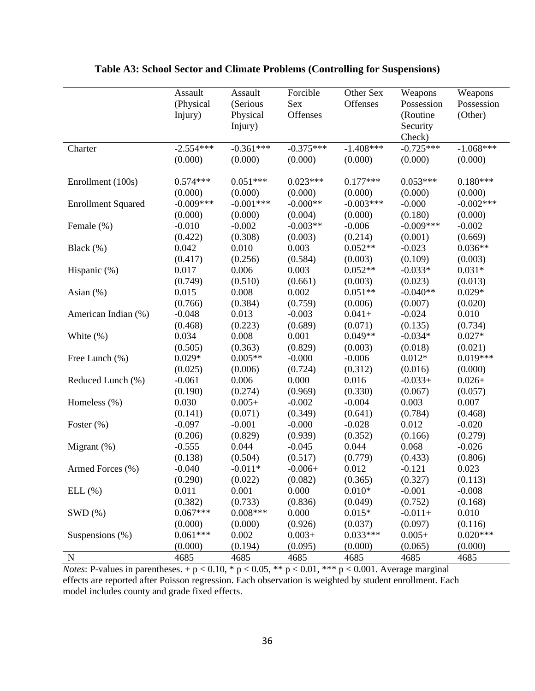|                           | Assault<br>(Physical<br>Injury) | Assault<br>(Serious<br>Physical | Forcible<br>Sex<br>Offenses | Other Sex<br>Offenses | Weapons<br>Possession<br>(Routine | Weapons<br>Possession<br>(Other) |
|---------------------------|---------------------------------|---------------------------------|-----------------------------|-----------------------|-----------------------------------|----------------------------------|
|                           |                                 | Injury)                         |                             |                       | Security<br>Check)                |                                  |
| Charter                   | $-2.554***$                     | $-0.361***$                     | $-0.375***$                 | $-1.408***$           | $-0.725***$                       | $-1.068***$                      |
|                           | (0.000)                         | (0.000)                         | (0.000)                     | (0.000)               | (0.000)                           | (0.000)                          |
| Enrollment (100s)         | $0.574***$                      | $0.051***$                      | $0.023***$                  | $0.177***$            | $0.053***$                        | $0.180***$                       |
|                           | (0.000)                         | (0.000)                         | (0.000)                     | (0.000)               | (0.000)                           | (0.000)                          |
| <b>Enrollment Squared</b> | $-0.009***$                     | $-0.001***$                     | $-0.000**$                  | $-0.003***$           | $-0.000$                          | $-0.002***$                      |
|                           | (0.000)                         | (0.000)                         | (0.004)                     | (0.000)               | (0.180)                           | (0.000)                          |
| Female (%)                | $-0.010$                        | $-0.002$                        | $-0.003**$                  | $-0.006$              | $-0.009***$                       | $-0.002$                         |
|                           | (0.422)                         | (0.308)                         | (0.003)                     | (0.214)               | (0.001)                           | (0.669)                          |
| Black (%)                 | 0.042                           | 0.010                           | 0.003                       | $0.052**$             | $-0.023$                          | $0.036**$                        |
|                           | (0.417)                         | (0.256)                         | (0.584)                     | (0.003)               | (0.109)                           | (0.003)                          |
| Hispanic (%)              | 0.017                           | 0.006                           | 0.003                       | $0.052**$             | $-0.033*$                         | $0.031*$                         |
|                           | (0.749)                         | (0.510)                         | (0.661)                     | (0.003)               | (0.023)                           | (0.013)                          |
| Asian $(\%)$              | 0.015                           | 0.008                           | 0.002                       | $0.051**$             | $-0.040**$                        | $0.029*$                         |
|                           | (0.766)                         | (0.384)                         | (0.759)                     | (0.006)               | (0.007)                           | (0.020)                          |
| American Indian (%)       | $-0.048$                        | 0.013                           | $-0.003$                    | $0.041+$              | $-0.024$                          | 0.010                            |
|                           | (0.468)                         | (0.223)                         | (0.689)                     | (0.071)               | (0.135)                           | (0.734)                          |
| White $(\%)$              | 0.034                           | 0.008                           | 0.001                       | $0.049**$             | $-0.034*$                         | $0.027*$                         |
|                           | (0.505)                         | (0.363)                         | (0.829)                     | (0.003)               | (0.018)                           | (0.021)                          |
| Free Lunch (%)            | $0.029*$                        | $0.005**$                       | $-0.000$                    | $-0.006$              | $0.012*$                          | $0.019***$                       |
|                           | (0.025)                         | (0.006)                         | (0.724)                     | (0.312)               | (0.016)                           | (0.000)                          |
| Reduced Lunch (%)         | $-0.061$                        | 0.006                           | 0.000                       | 0.016                 | $-0.033+$                         | $0.026+$                         |
|                           | (0.190)                         | (0.274)                         | (0.969)                     | (0.330)               | (0.067)                           | (0.057)                          |
| Homeless (%)              | 0.030                           | $0.005+$                        | $-0.002$                    | $-0.004$              | 0.003                             | 0.007                            |
|                           | (0.141)                         | (0.071)                         | (0.349)                     | (0.641)               | (0.784)                           | (0.468)                          |
| Foster $(\%)$             | $-0.097$                        | $-0.001$                        | $-0.000$                    | $-0.028$              | 0.012                             | $-0.020$                         |
|                           | (0.206)                         | (0.829)                         | (0.939)                     | (0.352)               | (0.166)                           | (0.279)                          |
| Migrant $(\%)$            | $-0.555$                        | 0.044                           | $-0.045$                    | 0.044                 | 0.068                             | $-0.026$                         |
|                           | (0.138)                         | (0.504)                         | (0.517)                     | (0.779)               | (0.433)                           | (0.806)                          |
| Armed Forces (%)          | $-0.040$                        | $-0.011*$                       | $-0.006+$                   | 0.012                 | $-0.121$                          | 0.023                            |
|                           | (0.290)                         | (0.022)                         | (0.082)                     | (0.365)               | (0.327)                           | (0.113)                          |
| ELL (%)                   | 0.011                           | 0.001                           | 0.000                       | $0.010*$              | $-0.001$                          | $-0.008$                         |
|                           | (0.382)                         | (0.733)                         | (0.836)                     | (0.049)               | (0.752)                           | (0.168)                          |
| SWD(%)                    | $0.067***$                      | $0.008***$                      | 0.000                       | $0.015*$              | $-0.011+$                         | 0.010                            |
|                           | (0.000)                         | (0.000)                         | (0.926)                     | (0.037)               | (0.097)                           | (0.116)                          |
| Suspensions (%)           | $0.061***$                      | 0.002                           | $0.003+$                    | $0.033***$            | $0.005+$                          | $0.020***$                       |
|                           | (0.000)                         | (0.194)                         | (0.095)                     | (0.000)               | (0.065)                           | (0.000)                          |
| $\mathbf N$               | 4685                            | 4685                            | 4685                        | 4685                  | 4685                              | 4685                             |

## **Table A3: School Sector and Climate Problems (Controlling for Suspensions)**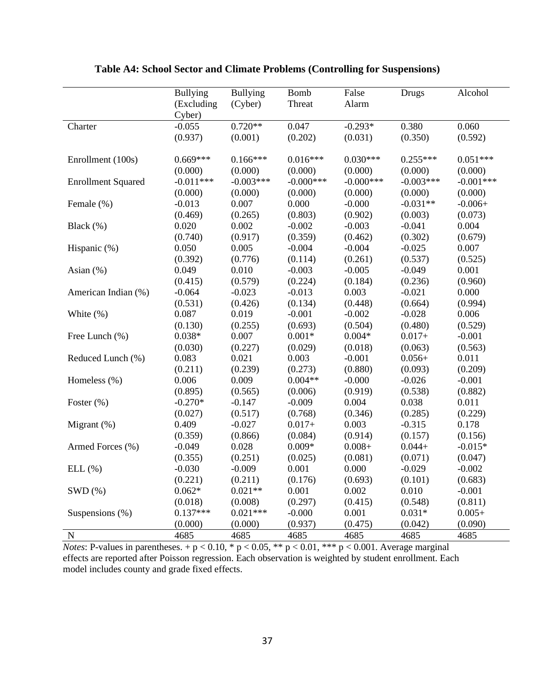|                           | <b>Bullying</b> | <b>Bullying</b> | <b>Bomb</b> | False       | <b>Drugs</b> | Alcohol     |
|---------------------------|-----------------|-----------------|-------------|-------------|--------------|-------------|
|                           | (Excluding      | (Cyber)         | Threat      | Alarm       |              |             |
|                           | Cyber)          |                 |             |             |              |             |
| Charter                   | $-0.055$        | $0.720**$       | 0.047       | $-0.293*$   | 0.380        | 0.060       |
|                           | (0.937)         | (0.001)         | (0.202)     | (0.031)     | (0.350)      | (0.592)     |
|                           |                 |                 |             |             |              |             |
| Enrollment (100s)         | $0.669***$      | $0.166***$      | $0.016***$  | $0.030***$  | $0.255***$   | $0.051***$  |
|                           | (0.000)         | (0.000)         | (0.000)     | (0.000)     | (0.000)      | (0.000)     |
| <b>Enrollment Squared</b> | $-0.011***$     | $-0.003***$     | $-0.000***$ | $-0.000***$ | $-0.003***$  | $-0.001***$ |
|                           | (0.000)         | (0.000)         | (0.000)     | (0.000)     | (0.000)      | (0.000)     |
| Female (%)                | $-0.013$        | 0.007           | 0.000       | $-0.000$    | $-0.031**$   | $-0.006+$   |
|                           | (0.469)         | (0.265)         | (0.803)     | (0.902)     | (0.003)      | (0.073)     |
| Black (%)                 | 0.020           | 0.002           | $-0.002$    | $-0.003$    | $-0.041$     | 0.004       |
|                           | (0.740)         | (0.917)         | (0.359)     | (0.462)     | (0.302)      | (0.679)     |
| Hispanic (%)              | 0.050           | 0.005           | $-0.004$    | $-0.004$    | $-0.025$     | 0.007       |
|                           | (0.392)         | (0.776)         | (0.114)     | (0.261)     | (0.537)      | (0.525)     |
| Asian $(\%)$              | 0.049           | 0.010           | $-0.003$    | $-0.005$    | $-0.049$     | 0.001       |
|                           | (0.415)         | (0.579)         | (0.224)     | (0.184)     | (0.236)      | (0.960)     |
| American Indian (%)       | $-0.064$        | $-0.023$        | $-0.013$    | 0.003       | $-0.021$     | 0.000       |
|                           | (0.531)         | (0.426)         | (0.134)     | (0.448)     | (0.664)      | (0.994)     |
| White $(\%)$              | 0.087           | 0.019           | $-0.001$    | $-0.002$    | $-0.028$     | 0.006       |
|                           | (0.130)         | (0.255)         | (0.693)     | (0.504)     | (0.480)      | (0.529)     |
| Free Lunch (%)            | $0.038*$        | 0.007           | $0.001*$    | $0.004*$    | $0.017 +$    | $-0.001$    |
|                           | (0.030)         | (0.227)         | (0.029)     | (0.018)     | (0.063)      | (0.563)     |
| Reduced Lunch (%)         | 0.083           | 0.021           | 0.003       | $-0.001$    | $0.056+$     | 0.011       |
|                           | (0.211)         | (0.239)         | (0.273)     | (0.880)     | (0.093)      | (0.209)     |
| Homeless (%)              | 0.006           | 0.009           | $0.004**$   | $-0.000$    | $-0.026$     | $-0.001$    |
|                           | (0.895)         | (0.565)         | (0.006)     | (0.919)     | (0.538)      | (0.882)     |
| Foster (%)                | $-0.270*$       | $-0.147$        | $-0.009$    | 0.004       | 0.038        | 0.011       |
|                           | (0.027)         | (0.517)         | (0.768)     | (0.346)     | (0.285)      | (0.229)     |
| Migrant (%)               | 0.409           | $-0.027$        | $0.017+$    | 0.003       | $-0.315$     | 0.178       |
|                           | (0.359)         | (0.866)         | (0.084)     | (0.914)     | (0.157)      | (0.156)     |
| Armed Forces (%)          | $-0.049$        | 0.028           | $0.009*$    | $0.008 +$   | $0.044 +$    | $-0.015*$   |
|                           | (0.355)         | (0.251)         | (0.025)     | (0.081)     | (0.071)      | (0.047)     |
| ELL(%)                    | $-0.030$        | $-0.009$        | 0.001       | 0.000       | $-0.029$     | $-0.002$    |
|                           | (0.221)         | (0.211)         | (0.176)     | (0.693)     | (0.101)      | (0.683)     |
| SWD(%)                    | $0.062*$        | $0.021**$       | 0.001       | 0.002       | 0.010        | $-0.001$    |
|                           | (0.018)         | (0.008)         | (0.297)     | (0.415)     | (0.548)      | (0.811)     |
| Suspensions $(\%)$        | $0.137***$      | $0.021***$      | $-0.000$    | 0.001       | $0.031*$     | $0.005+$    |
|                           | (0.000)         | (0.000)         | (0.937)     | (0.475)     | (0.042)      | (0.090)     |
| $\mathbf N$               | 4685            | 4685            | 4685        | 4685        | 4685         | 4685        |

# **Table A4: School Sector and Climate Problems (Controlling for Suspensions)**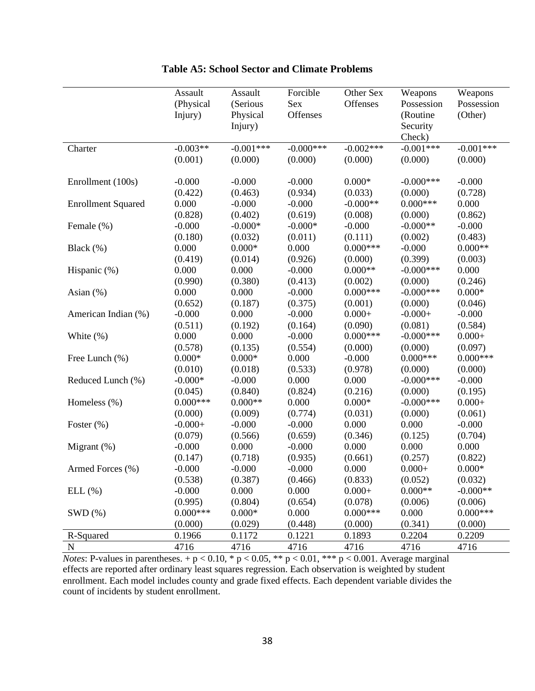|                           | Assault    | Assault     | Forcible     | Other Sex   | Weapons      | Weapons     |
|---------------------------|------------|-------------|--------------|-------------|--------------|-------------|
|                           | (Physical  | (Serious    | Sex          | Offenses    | Possession   | Possession  |
|                           | Injury)    | Physical    | Offenses     |             | (Routine     | (Other)     |
|                           |            | Injury)     |              |             | Security     |             |
|                           |            |             |              |             | Check)       |             |
| Charter                   | $-0.003**$ | $-0.001***$ | $-0.000$ *** | $-0.002***$ | $-0.001***$  | $-0.001***$ |
|                           | (0.001)    | (0.000)     | (0.000)      | (0.000)     | (0.000)      | (0.000)     |
|                           |            |             |              |             |              |             |
| Enrollment (100s)         | $-0.000$   | $-0.000$    | $-0.000$     | $0.000*$    | $-0.000$ *** | $-0.000$    |
|                           | (0.422)    | (0.463)     | (0.934)      | (0.033)     | (0.000)      | (0.728)     |
| <b>Enrollment Squared</b> | 0.000      | $-0.000$    | $-0.000$     | $-0.000**$  | $0.000***$   | 0.000       |
|                           | (0.828)    | (0.402)     | (0.619)      | (0.008)     | (0.000)      | (0.862)     |
| Female (%)                | $-0.000$   | $-0.000*$   | $-0.000*$    | $-0.000$    | $-0.000**$   | $-0.000$    |
|                           | (0.180)    | (0.032)     | (0.011)      | (0.111)     | (0.002)      | (0.483)     |
| Black $(\%)$              | 0.000      | $0.000*$    | 0.000        | $0.000***$  | $-0.000$     | $0.000**$   |
|                           | (0.419)    | (0.014)     | (0.926)      | (0.000)     | (0.399)      | (0.003)     |
| Hispanic (%)              | 0.000      | 0.000       | $-0.000$     | $0.000**$   | $-0.000$ *** | 0.000       |
|                           | (0.990)    | (0.380)     | (0.413)      | (0.002)     | (0.000)      | (0.246)     |
| Asian $(\%)$              | 0.000      | 0.000       | $-0.000$     | $0.000***$  | $-0.000$ *** | $0.000*$    |
|                           | (0.652)    | (0.187)     | (0.375)      | (0.001)     | (0.000)      | (0.046)     |
| American Indian (%)       | $-0.000$   | 0.000       | $-0.000$     | $0.000 +$   | $-0.000+$    | $-0.000$    |
|                           | (0.511)    | (0.192)     | (0.164)      | (0.090)     | (0.081)      | (0.584)     |
| White $(\%)$              | 0.000      | 0.000       | $-0.000$     | $0.000***$  | $-0.000$ *** | $0.000 +$   |
|                           | (0.578)    | (0.135)     | (0.554)      | (0.000)     | (0.000)      | (0.097)     |
| Free Lunch (%)            | $0.000*$   | $0.000*$    | 0.000        | $-0.000$    | $0.000***$   | $0.000***$  |
|                           | (0.010)    | (0.018)     | (0.533)      | (0.978)     | (0.000)      | (0.000)     |
| Reduced Lunch (%)         | $-0.000*$  | $-0.000$    | 0.000        | 0.000       | $-0.000$ *** | $-0.000$    |
|                           | (0.045)    | (0.840)     | (0.824)      | (0.216)     | (0.000)      | (0.195)     |
| Homeless (%)              | $0.000***$ | $0.000**$   | 0.000        | $0.000*$    | $-0.000$ *** | $0.000 +$   |
|                           | (0.000)    | (0.009)     | (0.774)      | (0.031)     | (0.000)      | (0.061)     |
| Foster $(\%)$             | $-0.000+$  | $-0.000$    | $-0.000$     | 0.000       | 0.000        | $-0.000$    |
|                           | (0.079)    | (0.566)     | (0.659)      | (0.346)     | (0.125)      | (0.704)     |
| Migrant $(\%)$            | $-0.000$   | 0.000       | $-0.000$     | 0.000       | 0.000        | 0.000       |
|                           | (0.147)    | (0.718)     | (0.935)      | (0.661)     | (0.257)      | (0.822)     |
| Armed Forces (%)          | $-0.000$   | $-0.000$    | $-0.000$     | 0.000       | $0.000 +$    | $0.000*$    |
|                           | (0.538)    | (0.387)     | (0.466)      | (0.833)     | (0.052)      | (0.032)     |
| ELL (%)                   | $-0.000$   | 0.000       | 0.000        | $0.000 +$   | $0.000**$    | $-0.000**$  |
|                           | (0.995)    | (0.804)     | (0.654)      | (0.078)     | (0.006)      | (0.006)     |
| SWD(%)                    | $0.000***$ | $0.000*$    | 0.000        | $0.000***$  | 0.000        | $0.000***$  |
|                           | (0.000)    | (0.029)     | (0.448)      | (0.000)     | (0.341)      | (0.000)     |
| R-Squared                 | 0.1966     | 0.1172      | 0.1221       | 0.1893      | 0.2204       | 0.2209      |
| ${\bf N}$                 | 4716       | 4716        | 4716         | 4716        | 4716         | 4716        |

*Notes*: P-values in parentheses.  $+p < 0.10$ , \*  $p < 0.05$ , \*\*  $p < 0.01$ , \*\*\*  $p < 0.001$ . Average marginal effects are reported after ordinary least squares regression. Each observation is weighted by student enrollment. Each model includes county and grade fixed effects. Each dependent variable divides the count of incidents by student enrollment.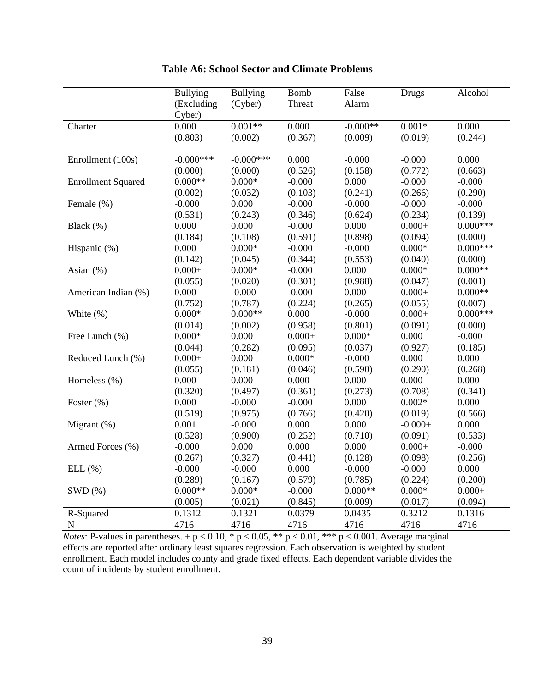|                           | <b>Bullying</b> | <b>Bullying</b> | <b>Bomb</b> | False      | Drugs     | Alcohol     |
|---------------------------|-----------------|-----------------|-------------|------------|-----------|-------------|
|                           | (Excluding      | (Cyber)         | Threat      | Alarm      |           |             |
|                           | Cyber)          |                 |             |            |           |             |
| Charter                   | 0.000           | $0.001**$       | 0.000       | $-0.000**$ | $0.001*$  | 0.000       |
|                           | (0.803)         | (0.002)         | (0.367)     | (0.009)    | (0.019)   | (0.244)     |
|                           |                 |                 |             |            |           |             |
| Enrollment (100s)         | $-0.000$ ***    | $-0.000$ ***    | 0.000       | $-0.000$   | $-0.000$  | 0.000       |
|                           | (0.000)         | (0.000)         | (0.526)     | (0.158)    | (0.772)   | (0.663)     |
| <b>Enrollment Squared</b> | $0.000**$       | $0.000*$        | $-0.000$    | 0.000      | $-0.000$  | $-0.000$    |
|                           | (0.002)         | (0.032)         | (0.103)     | (0.241)    | (0.266)   | (0.290)     |
| Female (%)                | $-0.000$        | 0.000           | $-0.000$    | $-0.000$   | $-0.000$  | $-0.000$    |
|                           | (0.531)         | (0.243)         | (0.346)     | (0.624)    | (0.234)   | (0.139)     |
| Black (%)                 | 0.000           | 0.000           | $-0.000$    | 0.000      | $0.000 +$ | $0.000***$  |
|                           | (0.184)         | (0.108)         | (0.591)     | (0.898)    | (0.094)   | (0.000)     |
| Hispanic (%)              | 0.000           | $0.000*$        | $-0.000$    | $-0.000$   | $0.000*$  | $0.000$ *** |
|                           | (0.142)         | (0.045)         | (0.344)     | (0.553)    | (0.040)   | (0.000)     |
| Asian (%)                 | $0.000 +$       | $0.000*$        | $-0.000$    | 0.000      | $0.000*$  | $0.000**$   |
|                           | (0.055)         | (0.020)         | (0.301)     | (0.988)    | (0.047)   | (0.001)     |
| American Indian (%)       | 0.000           | $-0.000$        | $-0.000$    | 0.000      | $0.000 +$ | $0.000**$   |
|                           | (0.752)         | (0.787)         | (0.224)     | (0.265)    | (0.055)   | (0.007)     |
| White (%)                 | $0.000*$        | $0.000**$       | 0.000       | $-0.000$   | $0.000 +$ | $0.000***$  |
|                           | (0.014)         | (0.002)         | (0.958)     | (0.801)    | (0.091)   | (0.000)     |
| Free Lunch (%)            | $0.000*$        | 0.000           | $0.000 +$   | $0.000*$   | 0.000     | $-0.000$    |
|                           | (0.044)         | (0.282)         | (0.095)     | (0.037)    | (0.927)   | (0.185)     |
| Reduced Lunch (%)         | $0.000 +$       | 0.000           | $0.000*$    | $-0.000$   | 0.000     | 0.000       |
|                           | (0.055)         | (0.181)         | (0.046)     | (0.590)    | (0.290)   | (0.268)     |
| Homeless (%)              | 0.000           | 0.000           | 0.000       | 0.000      | 0.000     | 0.000       |
|                           | (0.320)         | (0.497)         | (0.361)     | (0.273)    | (0.708)   | (0.341)     |
| Foster $(\% )$            | 0.000           | $-0.000$        | $-0.000$    | 0.000      | $0.002*$  | 0.000       |
|                           | (0.519)         | (0.975)         | (0.766)     | (0.420)    | (0.019)   | (0.566)     |
| Migrant $(\%)$            | 0.001           | $-0.000$        | 0.000       | 0.000      | $-0.000+$ | 0.000       |
|                           | (0.528)         | (0.900)         | (0.252)     | (0.710)    | (0.091)   | (0.533)     |
| Armed Forces (%)          | $-0.000$        | 0.000           | 0.000       | 0.000      | $0.000 +$ | $-0.000$    |
|                           | (0.267)         | (0.327)         | (0.441)     | (0.128)    | (0.098)   | (0.256)     |
| ELL(%)                    | $-0.000$        | $-0.000$        | 0.000       | $-0.000$   | $-0.000$  | 0.000       |
|                           | (0.289)         | (0.167)         | (0.579)     | (0.785)    | (0.224)   | (0.200)     |
| SWD(%)                    | $0.000**$       | $0.000*$        | $-0.000$    | $0.000**$  | $0.000*$  | $0.000 +$   |
|                           | (0.005)         | (0.021)         | (0.845)     | (0.009)    | (0.017)   | (0.094)     |
| R-Squared                 | 0.1312          | 0.1321          | 0.0379      | 0.0435     | 0.3212    | 0.1316      |
| $\mathbf N$               | 4716            | 4716            | 4716        | 4716       | 4716      | 4716        |

## **Table A6: School Sector and Climate Problems**

*Notes*: P-values in parentheses.  $+p < 0.10$ , \*  $p < 0.05$ , \*\*  $p < 0.01$ , \*\*\*  $p < 0.001$ . Average marginal effects are reported after ordinary least squares regression. Each observation is weighted by student enrollment. Each model includes county and grade fixed effects. Each dependent variable divides the count of incidents by student enrollment.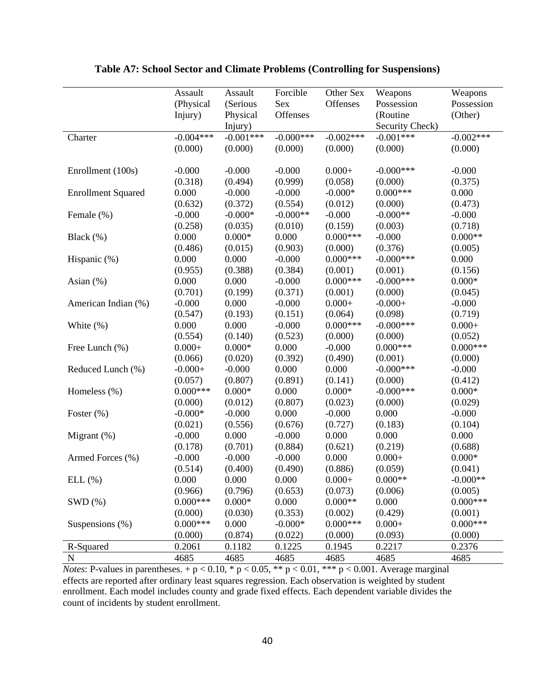|                           | Assault     | Assault         | Forcible     | Other Sex   | Weapons         | Weapons     |
|---------------------------|-------------|-----------------|--------------|-------------|-----------------|-------------|
|                           | (Physical   | (Serious        | Sex          | Offenses    | Possession      | Possession  |
|                           | Injury)     | Physical        | Offenses     |             | (Routine        | (Other)     |
|                           |             | Injury)         |              |             | Security Check) |             |
| Charter                   | $-0.004***$ | $-0.001***$     | $-0.000$ *** | $-0.002***$ | $-0.001***$     | $-0.002***$ |
|                           | (0.000)     | (0.000)         | (0.000)      | (0.000)     | (0.000)         | (0.000)     |
|                           |             |                 |              |             |                 |             |
| Enrollment (100s)         | $-0.000$    | $-0.000$        | $-0.000$     | $0.000 +$   | $-0.000$ ***    | $-0.000$    |
|                           | (0.318)     | (0.494)         | (0.999)      | (0.058)     | (0.000)         | (0.375)     |
| <b>Enrollment Squared</b> | 0.000       | $-0.000$        | $-0.000$     | $-0.000*$   | $0.000***$      | 0.000       |
|                           | (0.632)     | (0.372)         | (0.554)      | (0.012)     | (0.000)         | (0.473)     |
| Female (%)                | $-0.000$    | $-0.000*$       | $-0.000**$   | $-0.000$    | $-0.000**$      | $-0.000$    |
|                           | (0.258)     | (0.035)         | (0.010)      | (0.159)     | (0.003)         | (0.718)     |
| Black $(\%)$              | 0.000       | $0.000\text{*}$ | 0.000        | $0.000***$  | $-0.000$        | $0.000**$   |
|                           | (0.486)     | (0.015)         | (0.903)      | (0.000)     | (0.376)         | (0.005)     |
| Hispanic (%)              | 0.000       | 0.000           | $-0.000$     | $0.000***$  | $-0.000$ ***    | 0.000       |
|                           | (0.955)     | (0.388)         | (0.384)      | (0.001)     | (0.001)         | (0.156)     |
| Asian $(\%)$              | 0.000       | 0.000           | $-0.000$     | $0.000***$  | $-0.000***$     | $0.000*$    |
|                           | (0.701)     | (0.199)         | (0.371)      | (0.001)     | (0.000)         | (0.045)     |
| American Indian (%)       | $-0.000$    | 0.000           | $-0.000$     | $0.000 +$   | $-0.000+$       | $-0.000$    |
|                           | (0.547)     | (0.193)         | (0.151)      | (0.064)     | (0.098)         | (0.719)     |
| White $(\%)$              | 0.000       | 0.000           | $-0.000$     | $0.000***$  | $-0.000$ ***    | $0.000 +$   |
|                           | (0.554)     | (0.140)         | (0.523)      | (0.000)     | (0.000)         | (0.052)     |
| Free Lunch (%)            | $0.000 +$   | $0.000*$        | 0.000        | $-0.000$    | $0.000***$      | $0.000***$  |
|                           | (0.066)     | (0.020)         | (0.392)      | (0.490)     | (0.001)         | (0.000)     |
| Reduced Lunch (%)         | $-0.000+$   | $-0.000$        | 0.000        | 0.000       | $-0.000$ ***    | $-0.000$    |
|                           | (0.057)     | (0.807)         | (0.891)      | (0.141)     | (0.000)         | (0.412)     |
| Homeless (%)              | $0.000***$  | $0.000*$        | 0.000        | $0.000*$    | $-0.000$ ***    | $0.000*$    |
|                           | (0.000)     | (0.012)         | (0.807)      | (0.023)     | (0.000)         | (0.029)     |
| Foster $(\%)$             | $-0.000*$   | $-0.000$        | 0.000        | $-0.000$    | 0.000           | $-0.000$    |
|                           | (0.021)     | (0.556)         | (0.676)      | (0.727)     | (0.183)         | (0.104)     |
| Migrant $(\%)$            | $-0.000$    | 0.000           | $-0.000$     | 0.000       | 0.000           | 0.000       |
|                           | (0.178)     | (0.701)         | (0.884)      | (0.621)     | (0.219)         | (0.688)     |
| Armed Forces (%)          | $-0.000$    | $-0.000$        | $-0.000$     | 0.000       | $0.000 +$       | $0.000*$    |
|                           | (0.514)     | (0.400)         | (0.490)      | (0.886)     | (0.059)         | (0.041)     |
| ELL(%)                    | 0.000       | 0.000           | 0.000        | $0.000+$    | $0.000**$       | $-0.000**$  |
|                           | (0.966)     | (0.796)         | (0.653)      | (0.073)     | (0.006)         | (0.005)     |
| SWD(%)                    | $0.000***$  | $0.000*$        | 0.000        | $0.000**$   | 0.000           | $0.000***$  |
|                           | (0.000)     | (0.030)         | (0.353)      | (0.002)     | (0.429)         | (0.001)     |
| Suspensions $(\%)$        | $0.000***$  | 0.000           | $-0.000*$    | $0.000***$  | $0.000 +$       | $0.000***$  |
|                           | (0.000)     | (0.874)         | (0.022)      | (0.000)     | (0.093)         | (0.000)     |
| R-Squared                 | 0.2061      | 0.1182          | 0.1225       | 0.1945      | 0.2217          | 0.2376      |
| ${\bf N}$                 | 4685        | 4685            | 4685         | 4685        | 4685            | 4685        |

## **Table A7: School Sector and Climate Problems (Controlling for Suspensions)**

*Notes*: P-values in parentheses.  $+p < 0.10$ , \*  $p < 0.05$ , \*\*  $p < 0.01$ , \*\*\*  $p < 0.001$ . Average marginal effects are reported after ordinary least squares regression. Each observation is weighted by student enrollment. Each model includes county and grade fixed effects. Each dependent variable divides the count of incidents by student enrollment.